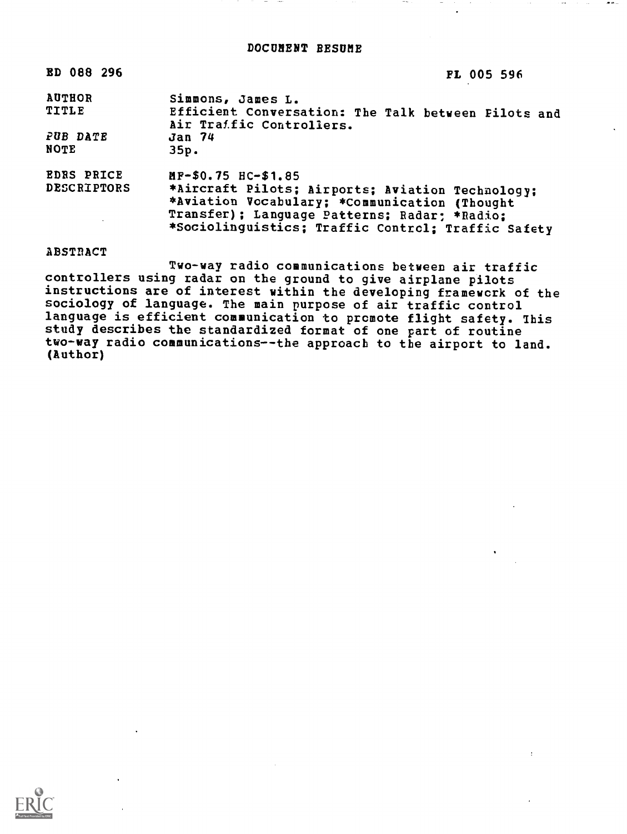| ED 088 296                                                                                                                                                                                                                    | FL 005 596                                                               |
|-------------------------------------------------------------------------------------------------------------------------------------------------------------------------------------------------------------------------------|--------------------------------------------------------------------------|
| <b>AUTHOR</b><br>TITLE                                                                                                                                                                                                        | Simmons, James L.<br>Efficient Conversation: The Talk between Filots and |
|                                                                                                                                                                                                                               | Air Traffic Controllers.                                                 |
| PUB DATE                                                                                                                                                                                                                      | <b>Jan 74</b>                                                            |
| <b>NOTE</b>                                                                                                                                                                                                                   | 35p.                                                                     |
| <b>EDRS PRICE</b>                                                                                                                                                                                                             | MF-\$0.75 HC-\$1.85                                                      |
| <b>DESCRIPTORS</b><br>*Aircraft Pilots; Airports; Aviation Technology;<br>*Aviation Vocabulary; *Communication (Thought<br>Transfer); Language Patterns; Radar; *Radio;<br>*Sociolinguistics; Traffic Control; Traffic Safety |                                                                          |

ABSTRACT

Two-way radio communications between air traffic controllers using radar on the ground to give airplane pilots instructions are of interest within the developing framework of the sociology of language. The main purpose of air traffic control language is efficient communication to promote flight safety. this study describes the standardized format of one part of routine two-way radio communications--the approach to the airport to land. (Author)

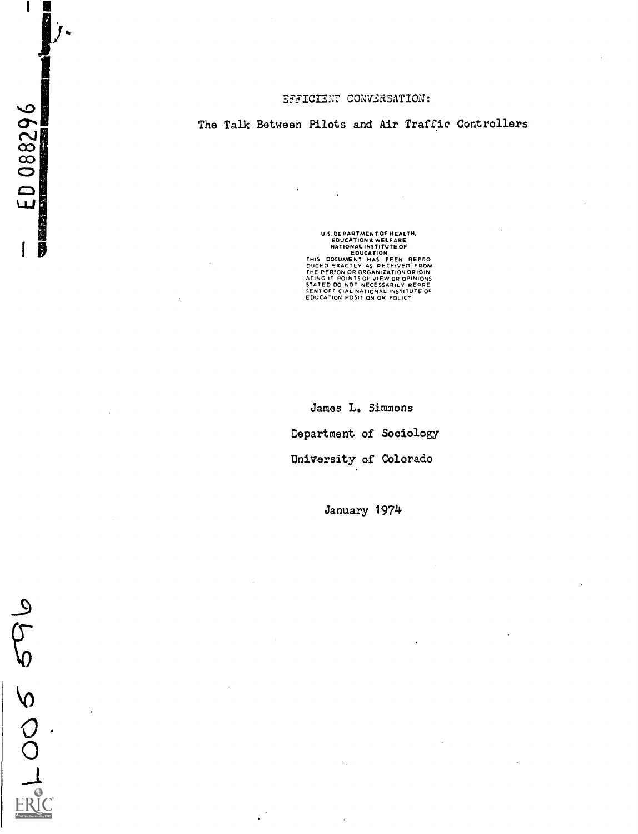# The Talk Between Pilots and Air Traffic Controllers

US DEPARTMENT OF HEALTH,<br>
EDUCATION & WELFARE<br>
NATIONAL INSTITUTE OF<br>
EDUCATION ENDING<br>
THIS DOCUMENT HAS BEEN REPRO<br>
DUCED EXACTLY AS RECEIVED FROM<br>
ATING IT POINTS OF VIEW OR OPINIONS<br>
STATED DO NOT NECESSARILY REPRE<br>
SE

James L. Simmons Department of Sociology University of Colorado

January 1974

FRICO 5 69

 $\mathbf{I}$ 

 $E D 088296$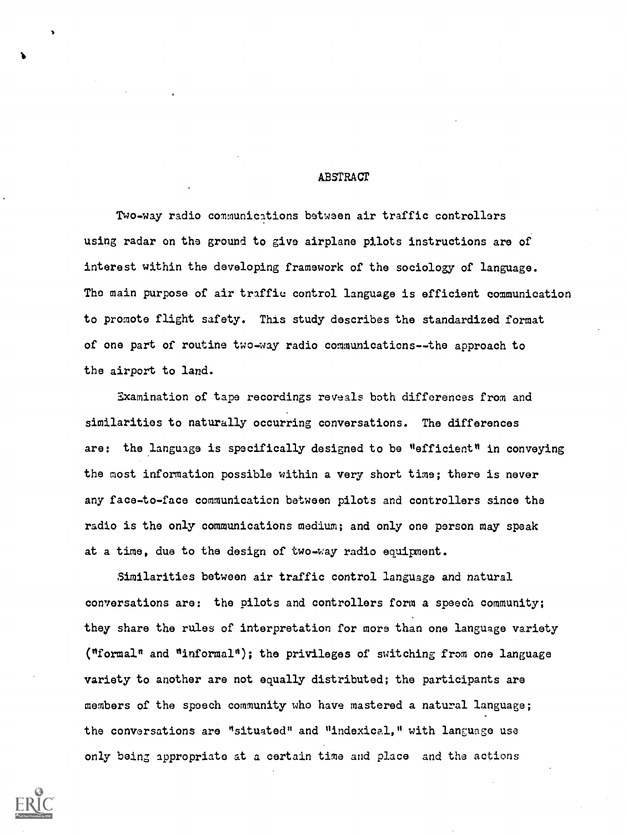# ABSTRACT

Two-way radio communications between air traffic controllers using radar on the ground to give airplane pilots instructions are of interest within the developing framework of the sociology of language. The main purpose of air traffic control language is efficient communication to promote flight safety. This study describes the standardized format of one part of routine two-way radio communications--the approach to the airport to land.

Examination of tape recordings reveals both differences from and similarities to naturally occurring conversations. The differences are: the language is specifically designed to be "efficient" in conveying the most information possible within a very short time; there is never any face-to-face communication between pilots and controllers since the radio is the only communications medium; and only one person may speak at a time, due to the design of two-way radio equipment.

Similarities between air traffic control language and natural conversations are: the pilots and controllers form a speech community; they share the rules of interpretation for more than one language variety ("formal" and "informal"); the privileges of switching from one language variety to another are not equally distributed; the participants are members of the speech community who have mastered a natural language; the conversations are "situated" and "indexical," with language use only being appropriate at a certain time and place and the actions



 $\blacksquare$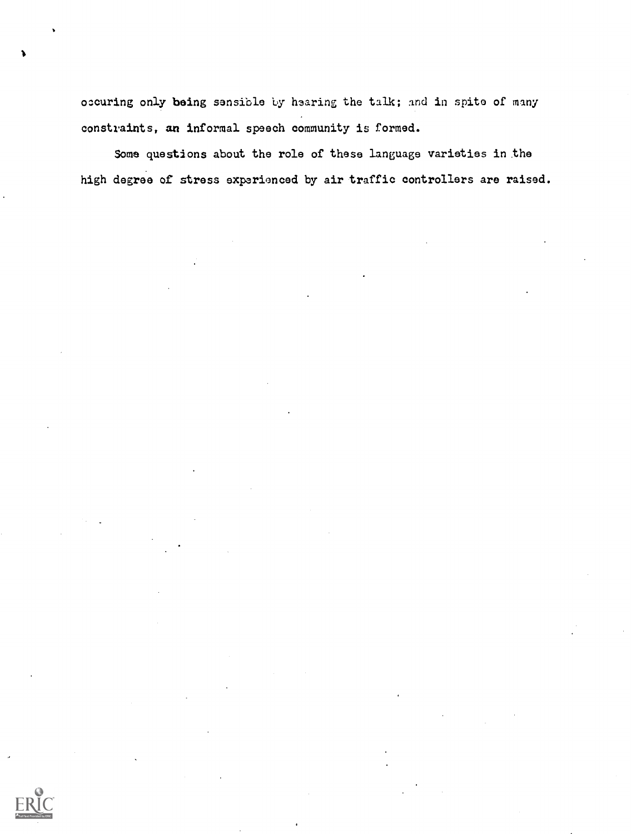ozcuring only being sensible by hearing the talk; and in spite of many constraints, an informal speech community is formed.

Some questions about the role of these language varieties in the high degree of stress experienced by air traffic controllers are raised.

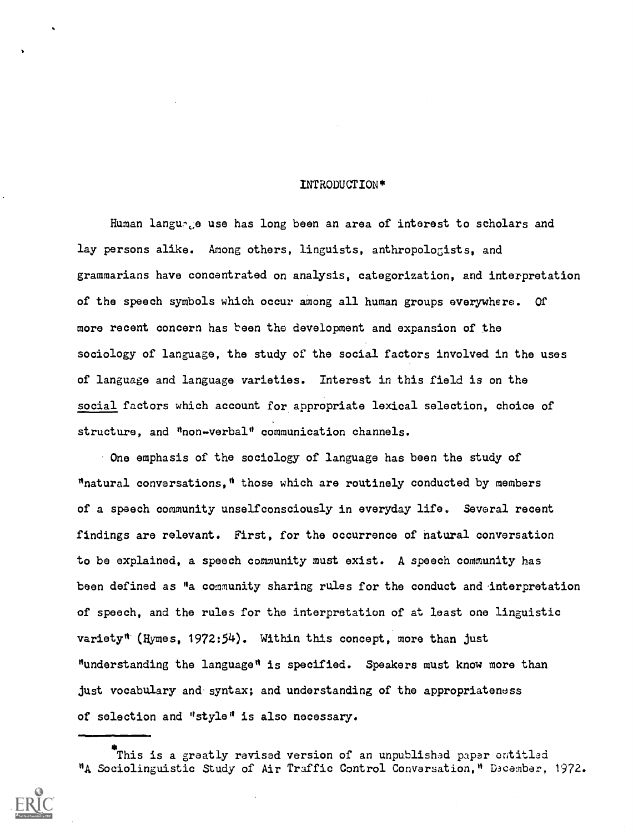# INTRODUCTION\*

Human language use has long been an area of interest to scholars and lay persons alike. Among others, linguists, anthropologists, and grammarians have concentrated on analysis, categorization, and interpretation of the speech symbols which occur among all human groups everywhere. Of more recent concern has been the development and expansion of the sociology of language, the study of the social factors involved in the uses of language and language varieties. Interest in this field is on the social factors which account for appropriate lexical selection, choice of structure, and "non-verbal" communication channels.

One emphasis of the sociology of language has been the study of "natural conversations," those which are routinely conducted by members of a speech community unselfconsciously in everyday life. Several recent findings are relevant. First, for the occurrence of natural conversation to be explained, a speech community must exist. A speech community has been defined as "a community sharing rules for the conduct and interpretation of speech, and the rules for the interpretation of at least one linguistic variety" (Hymes, 1972:54). Within this concept, more than just "understanding the language" is specified. Speakers must know more than just vocabulary and syntax; and understanding of the appropriateness of selection and "style" is also necessary.

This is a greatly revised version of an unpublished paper entitled "A Sociolinguistic Study of Air Traffic Control Conversation," D3cember, 1972.

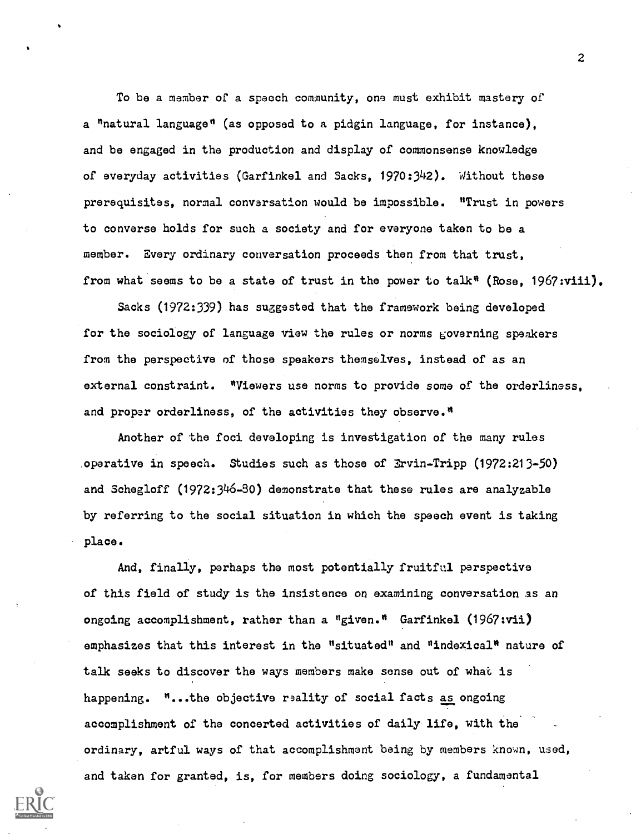To be a member of a speech community, one must exhibit mastery of a "natural language" (as opposed to a pidgin language, for instance), and be engaged in the production and display of commonsense knowledge of everyday activities (Garfinkel and Sacks, 1970:342). Without these prerequisites, normal conversation would be impossible. "Trust in powers to converse holds for such a society and for everyone taken to be a member. Every ordinary conversation proceeds then from that trust, from what seems to be a state of trust in the power to talk<sup>#</sup> (Rose, 1967:viii).

Sacks (1972:339) has suggested that the framework being developed for the sociology of language view the rules or norms governing speakers from the perspective of those speakers themselves, instead of as an external constraint. "Viewers use norms to provide some of the orderliness, and proper orderliness, of the activities they observe."

Another of the foci developing is investigation of the many rules operative in speech. Studies such as those of Ervin-Tripp (1972:213-50) and Schegloff (1972:346-30) demonstrate that these rules are analyzable by referring to the social situation in which the speech event is taking place.

And, finally, perhaps the most potentially fruitful perspective of this field of study is the insistence on examining conversation as an ongoing accomplishment, rather than a "given." Garfinkel (1967:vii) emphasizes that this interest in the "situated" and "indexical" nature of talk seeks to discover the ways members make sense out of what is happening. "...the objective reality of social facts as ongoing accomplishment of the concerted activities of daily life, with the ordinary, artful ways of that accomplishment being by members known, used, and taken for granted, is, for members doing sociology, a fundamental

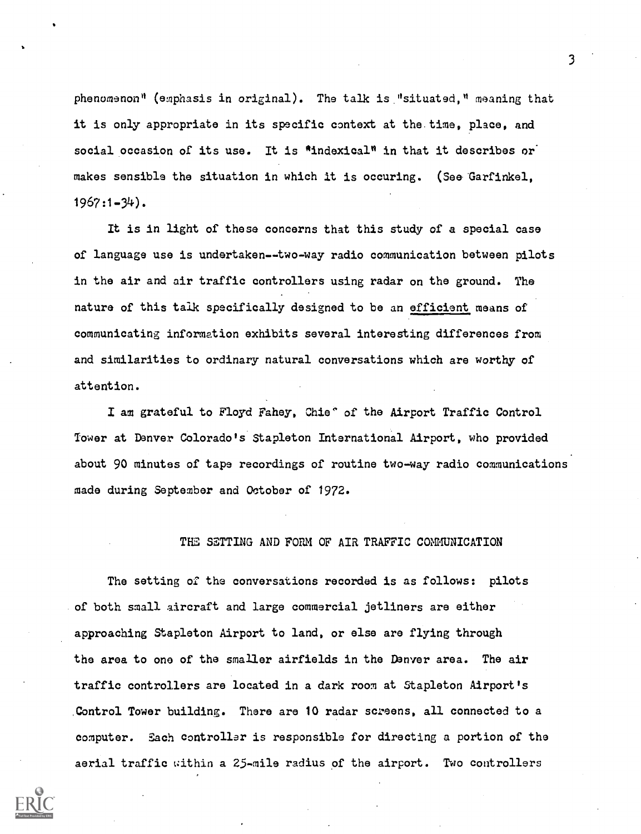phenomenon" (emphasis in original). The talk is "situated," meaning that it is only appropriate in its specific context at the time, place, and social occasion of its use. It is \*indexical" in that it describes or makes sensible the situation in which it is occuring. (See Garfinkel, 1967:1-34).

It is in light of these concerns that this study of a special case of language use is undertaken--two-way radio communication between pilots in the air and air traffic controllers using radar on the ground. The nature of this talk specifically designed to be an efficient means of communicating information exhibits several interesting differences from and similarities to ordinary natural conversations which are worthy of attention.

I am grateful to Floyd Fahey, Chie" of the Airport Traffic Control Tower at Denver Colorado's Stapleton International Airport, who provided about 90 minutes of tape recordings of routine two-way radio communications made during September and October of 1972.

# THE SETTING AND FORM OF AIR TRAFFIC COMMUNICATION

The setting of the conversations recorded is as follows: pilots of both small aircraft and large commercial jetliners are either approaching Stapleton Airport to land, or else are flying through the area to one of the smaller airfields in the Denver area. The air traffic controllers are located in a dark room at Stapleton Airport's ,Control Tower building. There are 10 radar screens, all connected to a computer. Each controller is responsible for directing a portion of the aerial traffic within a 25-mile radius of the airport. Two controllers

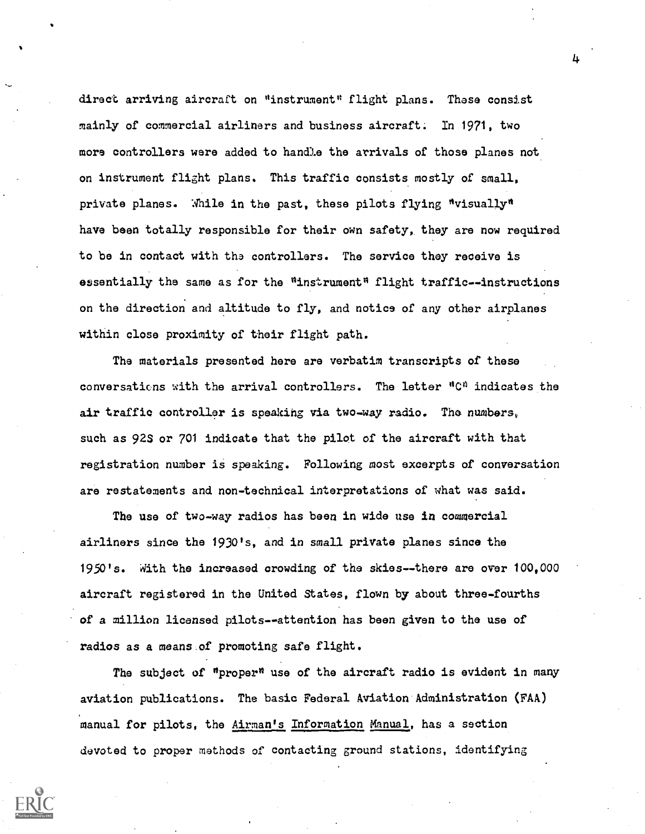direct arriving aircraft on "instrument" flight plans. These consist mainly of commercial airliners and business aircraft; In 1971, two more controllers were added to handle the arrivals of those planes not on instrument flight plans. This traffic consists mostly of small, private planes. While in the past, these pilots flying "visually" have been totally responsible for their own safety, they are now required to be in contact with the controllers. The service they receive is essentially the same as for the  $"instrument"$  flight traffic--instructions on the direction and altitude to fly, and notice of any other airplanes within close proximity of their flight path.

The materials presented here are verbatim transcripts of these conversations with the arrival controllers. The letter "C" indicates the air traffic controller is speaking via two-way radio. Tha numbers, such as 92S or 701 indicate that the pilot of the aircraft with that registration number is speaking. Following most excerpts of conversation are restatements and non-technical interpretations of what was said.

The use of two-way radios has been in wide use in commercial airliners since the 1930's, and in small private planes since the 1950's. With the increased crowding of the skies--there are over 100,000 aircraft registered in the United States, flown by about three-fourths of a million licensed pilots--attention has been given to the use of radios as a means.of promoting safe flight.

The subject of "proper" use of the aircraft radio is evident in many aviation publications. The basic Federal Aviation-Administration (FAA) manual for pilots, the Airman's Information Manual, has a section devoted to proper methods of contacting ground stations, identifying

4.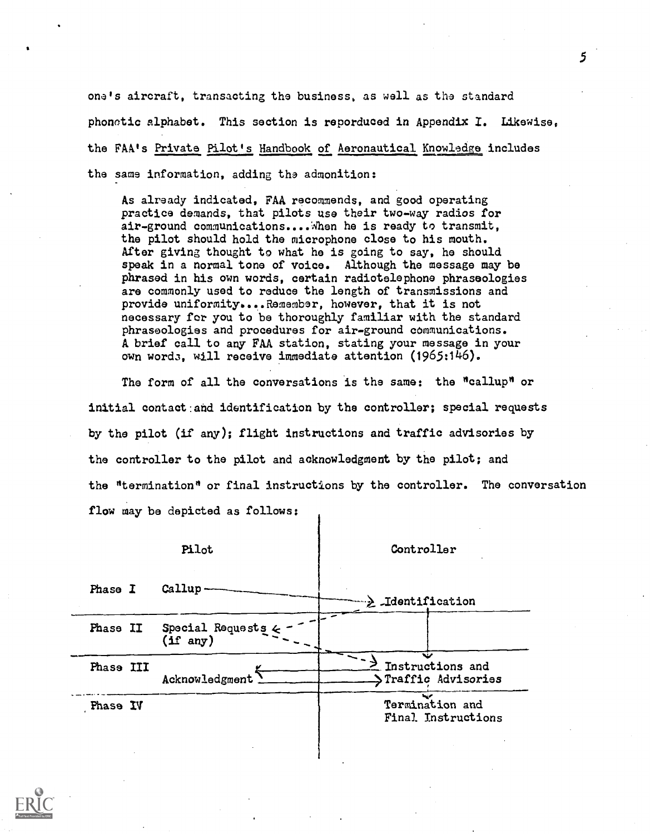one's aircraft, transacting the business, as well as the standard phonotic alphabet. This section is reporduced in Appendix I. Likewise, the FAA's Private Pilot's Handbook of Aeronautical Knowledge includes the same information, adding the admonition:

As already indicated, FAA recommends, and good operating practice demands, that pilots use their two-way radios for air-ground communications.... When he is ready to transmit, the pilot should hold the microphone close to his mouth. After giving thought to what he is going to say, he should speak in a normal tone of voice. Although the message may be phrased in his own words, certain radiotelephone phraseologies are commonly used to reduce the length of transmissions and provide uniformity....Remember, however, that it is not necessary for you to be thoroughly familiar with the standard phraseologies and procedures for air-ground communications. A brief call to any FAA station, stating your message in your own word3, will receive immediate attention (1965:146).

The form of all the conversations is the same: the "callup" or initial contact:and identification by the controller; special requests by the pilot (if any); flight instructions and traffic advisories by the controller to the pilot and acknowledgment by the pilot; and the "termination" or final instructions by the controller. The conversation flow may be depicted as follows:

|           | Pilot                                 | Controller                                   |  |  |  |  |
|-----------|---------------------------------------|----------------------------------------------|--|--|--|--|
| Phase I   | Callup                                | ">> Identification                           |  |  |  |  |
| Phase II  | Special Requests 4<br>$(1f \n{ any})$ |                                              |  |  |  |  |
| Phase III | Acknowledgment                        | Instructions and<br>STraffic Advisories      |  |  |  |  |
| Phase IV  |                                       | حفط<br>Termination and<br>Final Instructions |  |  |  |  |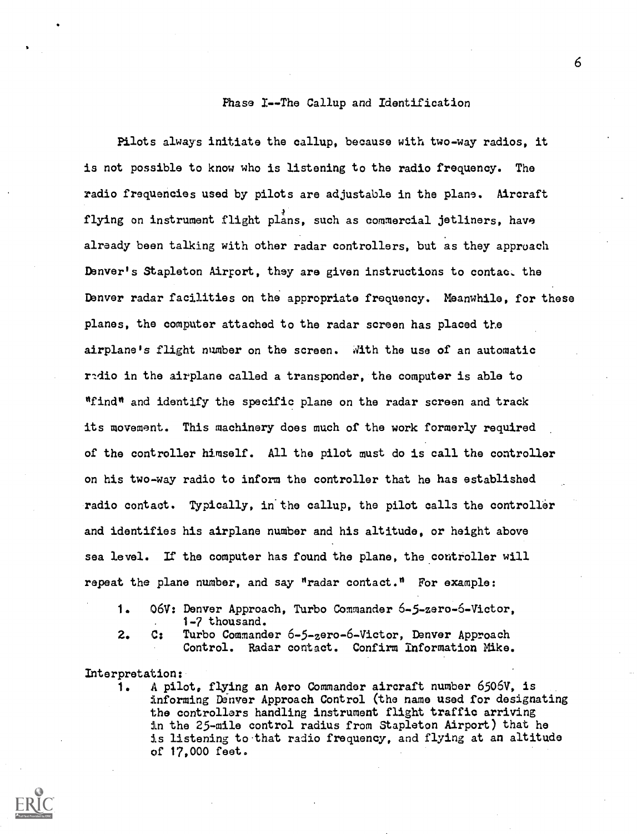# Phase I--The Callup and Identification

Pilots always initiate the callup, because with two-way radios, it is not possible to know who is listening to the radio frequency. The radio frequencies used by pilots are adjustable in the plane. Aircraft flying on instrument flight plans, such as commercial jetliners, have already been talking with other radar controllers, but as they approach Denver's Stapleton Airport, they are given instructions to contact the Denver radar facilities on the appropriate frequency. Meanwhile, for these planes, the computer attached to the radar screen has placed the airplane's flight number on the screen. dith the use of an automatic radio in the airplane called a transponder, the computer is able to "find" and identify the specific plane on the radar screen and track its movement. This machinery does much of the work formerly required of the controller himself. All the pilot must do is call the controller on his two-way radio to inform the controller that he has established radio contact. Typically, in'the callup, the pilot calls the controller and identifies his airplane number and his altitude, or height above sea level. If the computer has found the plane, the controller will repeat the plane number, and say "radar contact." For example:

- 1. 06V: Denver Approach, Turbo Commander 6-5-zero-6-Victor, 1-7 thousand.
- 
- 2. C: Turbo Commander 6-5-zero-6-Victor, Denver Approach Control. Radar contact. Confirm information Mike.

# Interpretation:

1. A pilot, flying an Aero Commander aircraft number 6506V, is informing Denver Approach Control (the name used for designating the controllers handling instrument flight traffic arriving in the 25-mile control radius from Stapleton Airport) that he is listening to that radio frequency, and flying at an altitude of 17,000 feet.

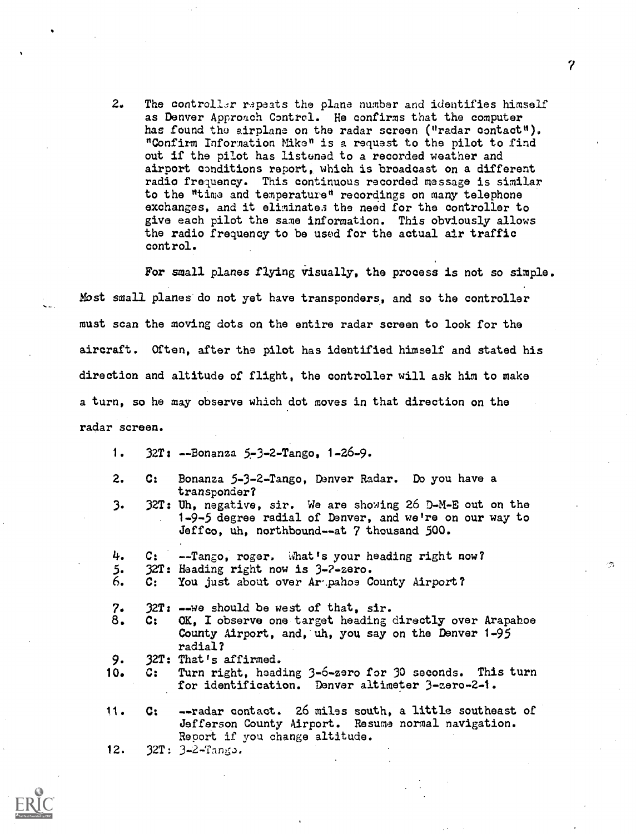2. The controller r3peats the plane number and identifies himself as Denver Approach Control. He confirms that the computer has found the airplane on the radar screen ("radar contact"). "Confirm Information Mike" is a request to the pilot to find out if the pilot has listened to a recorded weather and airport conditions report, which is broadcast on a different radio frequency. This continuous recorded message is similar to the "time and temperature" recordings on many telephone exchanges, and it eliminates the need for the controller to give each pilot the same information. This obviously allows the radio frequency to be used for the actual air traffic control.

For small planes flying visually, the process is not so simple. Most small planes do not yet have transponders, and so the controller must scan the moving dots on the entire radar screen to look for the aircraft. Often, after the pilot has identified himself and stated his direction and altitude of flight, the controller will ask him to make a turn, so he may observe which dot moves in that direction on the radar screen.

- 1. 32T: --Bonanza 5-3-2-Tango, 1-26-9.
- 2. C: Bonanza 5-3-2-Tango, Denver Radar. Do you have a transponder?
- 3. 32r: Uh, negative, sir. We are showing 26 D-M -E out on the . 1-9-5 degree radial of Denver, and we're on our way to Jeff co, uh, northbound--at 7 thousand 500.
- 4. C: --Tango, roger. What's your heading right now?
- 5. 32T: Haading right now is 3-2-zero.<br>6. C: You just about over Ar pahos C
- C: You just about over Araphoe County Airport?
- 7. 32T: --we should be west of that, sir.
- 8. C: OK, I observe one target heading directly over Arapahoe County Airport, and, uh, you say on the Denver 1-95 radial?
- 9. 32T: That's affirmed.
- 10. C: Turn right, heading 3-6-zero for 30 seconds. This turn for identification. Denver altimeter 3-zero-2-1.
- 11. C: --radar contact. 26 miles south, a little southeast of Jefferson County Airport. Resume normal navigation. Report if you change altitude.
- 12. 32T: 3-2-Tango.



 $7 \pm 7$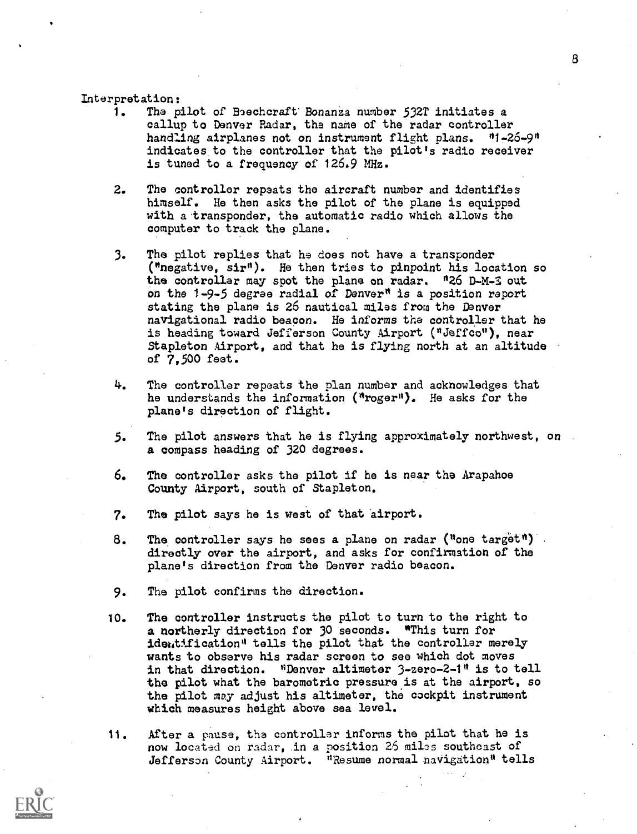# Interpretation:

- 1. The pilot of Bechcraft Bonanza number 532T initiates a callup to Denver Radar, the name of the radar controller handling airplanes not on instrument flight plans. "1-26-9" indicates. to the controller that the pilot's radio receiver is tuned to a frequency of 126.9 MHz.
- 2. The controller repeats the aircraft number and identifies himself. Ho then asks the pilot of the plane is equipped with a transponder, the automatic radio which allows the computer to track the plane.
- 3. The pilot replies that he does not have a transponder ("negative, sir"). He then tries to pinpoint his location so the controller may spot the plane on radar. "26 D-M-3 out on the 1-9-5 degree radial of Denver" is a position report stating the plane is 26 nautical miles from the Denver navigational radio beacon. He informs the controller that he is heading toward Jefferson County Airport ("Jeffoo"), near Stapleton Airport, and that he is flying north at an altitude of 7,500 feet.
- 4. The controller repeats the plan number and acknowledges that he understands the information ("roger"). He asks for the plane's direction of flight.
- $5.$ The pilot answers that he is flying approximately northwest, on . a compass heading of 320 degrees.
- 6. The controller asks the pilot if he is near the Arapahoe County Airport, south of Stapleton.
- 7. The pilot says he is west of that airport.
- 8. The controller says he sees a plane on radar ("one target") directly over the airport, and asks for confirmation of the plane's direction from the Denver radio beacon.
- 9. The pilot confirms the direction.
- 10. The controller instructs the pilot to turn to the right to a northerly direction for 30 seconds. "This turn for identification" tells the pilot that the controller merely wants to observe his radar screen to see which dot moves in that direction. "Denver altimeter 3-zero-2-1" is to tell the pilot what the barometric pressure is at the airport, so the pilot may adjust his altimeter, the cockpit instrument which measures height above sea level.
- 11. After a pause, the controller informs the pilot that he is now located on radar, in a position 26 mils southeast of Jefferson County Airport. "Resume normal navigation" tells

8

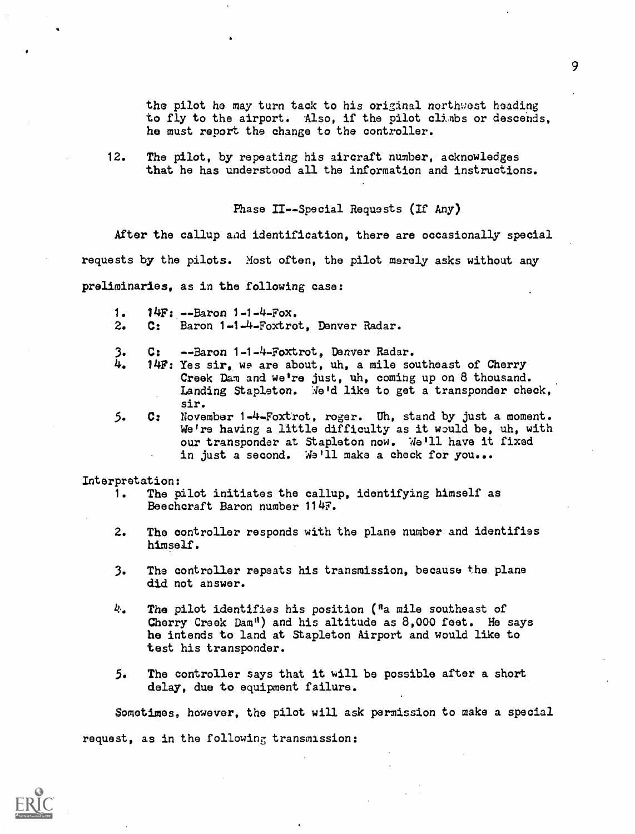the pilot he may turn tack to his original northwest heading to fly to the airport. Also, if the pilot climbs or descends, he must report the change to the controller.

12. The pilot, by repeating his aircraft number, acknowledges that he has understood all the information and instructions.

Phase II--Special Requests (If Any)

After the callup aad identification, there are occasionally special requests by the pilots. Most often, the pilot merely asks without any preliminaries, as in the following case:

- 1. 14F: --Baron 1-1-4-Fox.
- 2. C: Baron 1-1-4-Foxtrot, Denver Radar.
- 3. C: --Baron 1-1-4-Foxtrot, Denver Radar.<br>4. 14F: Yes sir, we are about, uh, a mile so
- 14F: Yes sir, we are about, uh, a mile southeast of Cherry Creek Dam and we're just, uh, coming up on 8 thousand. Landing Stapleton. We'd like to get a transponder check, sir.
- 5. C: November 1-4-Foxtrot, roger. Uh, stand by just a moment. We're having a little difficulty as it would be, uh, with our transponder at Stapleton now. We'll have it fixed in just a second. We'll make a check for you...

Interpretation:

- 1. The pilot initiates the callup, identifying himself as Beechcraft Baron number 114F.
- 2. The controller responds with the plane number and identifies himself.
- 3. The controller repeats his transmission, because the plane did not answer.
- $k$ . The pilot identifies his position ("a mile southeast of Cherry Creek Dam") and his altitude as 8,000 feet. He says he intends to land at Stapleton Airport and would like to test his transponder.
- 5. The controller says that it will be possible after a short delay, due to equipment failure.

Sometimes, however, the pilot will ask permission to make a special request, as in the following transmission:

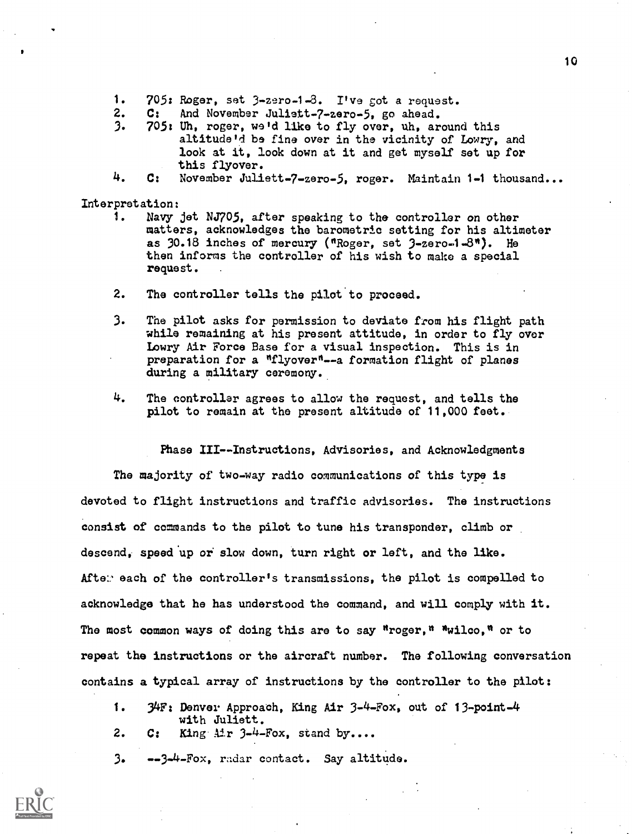- 1. 705: Roger, set 3-zero-1-8. I've got a request.
- 2. C: And November Juliett-7-zero-5, go ahead.<br>3. 705: Uh. roger. we'd like to fly over. uh. ar
- 3. 705: Uh, roger, we'd like to fly over, uh, around this altitude'd be fine over in the vicinity of Lowry, and look at it, look down at it and get myself set up for this flyover.
- 4. C: November Juliett-7-zero-5, roger. Maintain 1-1 thousand...

Interpretation:

- 1. Navy jet NJ705, after speaking to the controller on other matters, acknowledges the barometric setting for his altimeter as  $30.18$  inches of mercury ("Roger, set  $3$ -zero-1-8"). He then informs the controller of his wish to make a special request.
- 2. The controller tells the pilot to proceed.
- 3. The pilot asks for permission to deviate from his flight path while remaining at his present attitude, in order to fly over Lowry Air Force Base for a visual inspection. This is in preparation for a "flyover"--a formation flight of planes during a military ceremony.
- 4. The controller agrees to allow the request, and tells the pilot to remain at the present altitude of 11,000 feet.

Phase III--Instructions, Advisories, and Acknowledgments The majority of two-way radio communications of this type is devoted to flight instructions and traffic advisories. The instructions consist of commands to the pilot to tune his transponder, climb or descend, speed up or slow down, turn right or left, and the like. Afte:' each of the controller's transmissions, the pilot is compelled to acknowledge that he has understood the command, and will comply with it. The most common ways of doing this are to say "roger," "wilco," or to repeat the instructions or the aircraft number. The following conversation contains a typical array of instructions by the controller to the pilot:

- 1. 34Ft Denver Approach, King Air 3-4-Fox, out of 13-point-4 with Juliett.
- 2. C: King Air 3-4-Fox, stand by....

3. --3-4-Fox, radar contact. Say altitude.

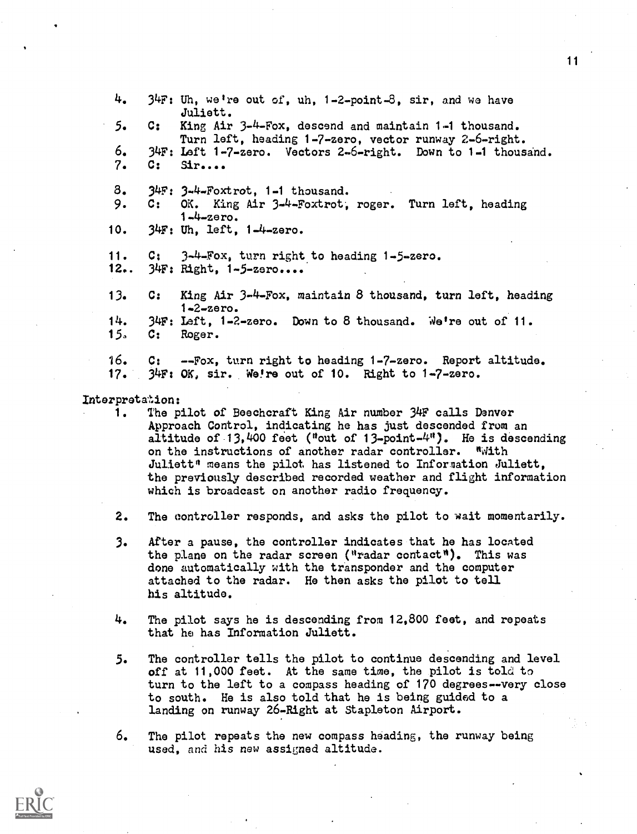4. 34F: Uh, we're out of, uh, 1-2-point-8, sir, and we have Juliett. 5. C: King Air 3-4-Fox, descend and maintain 1-1 thousand. Turn left, heading 1-7-zero, vector runway 2-6-right. 6. 34F: Left 1-7-zero. Vectors 2-6-right. Down to 1-1 thousand. 7. C: Sir.... 8. 34F: 3-4-Foxtrot, 1-1 thousand. 9. C: OK. King Air 3-4-Foxtrot; roger. Turn left, heading 1-4-zero. 10. 34F: Uh, left, 1-4-zero. 11. C: 3-4-Fox, turn right to heading 1-5-zero. 12.. 34F: Right, 1-5-zero.... 13. C: King Air 3-4-Fox, maintain 8 thousand, turn left, heading 1-2-zero. 14. 34F: Left, 1-2-zero. Down to 8 thousand. We're out of 11.<br>15. C: Roger. C: Roger. 16. C: --Fox, turn right to heading 1-7-zero. Report altitude. 17. 34F: OK, sir. Were out of 10. Right to 1-7-zero.

# Interpretation:<br>1. The p

- The pilot of Beechcraft King Air number 34F calls Denver Approach Control, indicating he has just descended from an altitude of 13,400 feet ("out of 13-point- $4$ "). He is descending on the instructions of another radar controller. "With Juliett" means the pilot, has listened to Information Juliett, the previously described recorded weather and flight information which is broadcast on another radio frequency.
- 2. The controller responds, and asks the pilot to wait momentarily.
- 3. After a pause, the controller indicates that he has located the plane on the radar screen ("radar contact"). This was done automatically with the transponder and the computer attached to the radar. He then asks the pilot to tell his altitude.
- 4. The pilot says he is descending from 12,800 feet, and repeats that he has Information Juliett.
- 5. The controller tells the pilot to continue descending and level off at 11,000 feet. At the same time, the pilot is told to turn to the left to a compass heading of 170 degrees--very close to south. He is also told that he is being guided to a landing on runway 26-Right at Stapleton Airport.
- 6. The pilot repeats the new compass heading, the runway being used, and his new assigned altitude.

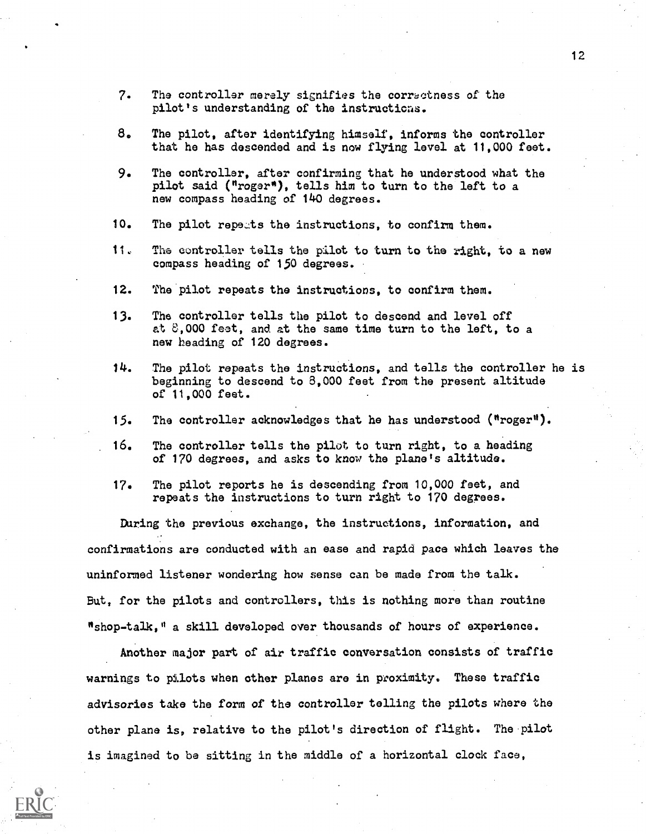- 7. The controller merely signifies the correctness of the pilot's understanding of the instructions.
- 8. The pilot, after identifying himself, informs the controller that he has descended and is now flying level at 11,000 feet.
- 9. The controller, after confirming that he understood what the pilot said ("roger"), tells him to turn to the left to a new compass heading of 140 degrees.
- 10. The pilot repeats the instructions, to confirm them.
- 11, The controller tells the pilot to turn to the right, to a new compass heading of 150 degrees.
- 12. The pilot repeats the instructions, to confirm them.
- 13. The controller tells the pilot to descend and level off at 3,000 feat, and at the same time turn to the left, to a new heading of 120 degrees.
- 14. The pilot repeats the instructions, and tells the controller he is beginning to descend to 8,000 feet from the present altitude of 11,000 feet.
- 15. The controller acknowledges that he has understood ("roger").
- 16. The controller tells the pilot to turn right, to a heading of 170 degrees, and asks to know the plane's altitude.
- 17. The pilot reports he is descending from 10,000 feet, and repeats the instructions to turn right to 170 degrees.

During the previous exchange, the instructions, information, and confirmations are conducted with an ease and rapid pace which leaves the uninformed listener wondering how sense can be made from the talk. But, for the pilots and controllers, this is nothing more than routine "shop-talk," a skill developed over thousands of hours of experience.

Another major part of air traffic conversation consists of traffic warnings to pilots when other planes are in proximity. These traffic advisories take the form of the controller telling the pilots where the other plane is, relative to the pilot's direction of flight. The pilot is imagined to be sitting in the middle of a horizontal clock face,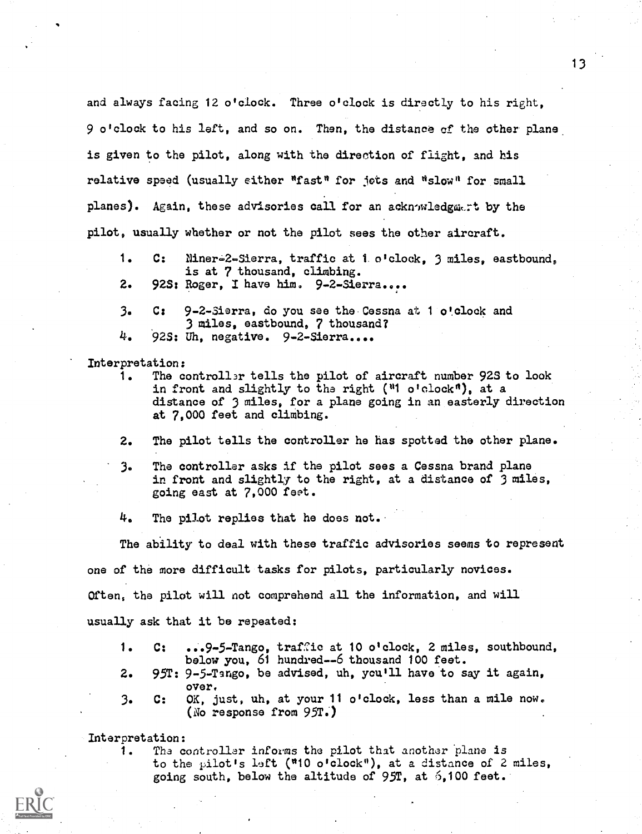and always facing 12 o'clock. Three o'clock is directly to his right, 9 o'clock to his left, and so on. Then, the distance of the other plane. is given to the pilot, along with the direction of flight, and his relative speed (usually either "fast" for jots and "slow" for small planes). Again, these advisories call for an acknowledgment by the pilot, usually whether or not the pilot sees the other aircraft.

- 1. C: Niner-2-Sierra, traffic at 1. o'clock, 3 miles, eastbound, is at 7 thousand, climbing.
- 2. 92S: Roger, I have him. 9-2-Sierra....
- 3. C: 9-2-Sierra, do you sae the Cessna at 1 o'clock and 3 miles, eastbound, 7 thousand? 4. 92S: Uh, negative. 9-2-Sierra....

Interpretation:

- 1. The controller tells the pilot of aircraft number 92S to look in front and slightly to the right ("1 o'clock"), at a distance of 3 miles, for a plane going in an easterly direction at 7,000 feet and climbing.
- 2. The pilot tells the controller he has spotted the other plane.
- 3. The controller asks if the pilot sees a Cessna brand plane in front and slightly to the right, at a distance of 3 miles, going east at 7,000 feet.
- 4. The pilot replies that he does not..

The ability to deal with these traffic advisories seems to represent one of the more difficult tasks for pilots, particularly novices. Often, the pilot will not comprehend all the information, and will usually ask that it be repeated:

- 1. C: ...9 -5- Tango, traffic at 10 o'clock, 2 miles, southbound, below you, 61 hundred--6 thousand 100 feet.
- 2. 95T: 9-5-Tango, be advised, uh, you'll have.to say it again, over.
- 3. C: OK, just, uh, at your 11 o'clock, less than a mile now. (No response from  $95T$ .)

Interpretation:

1. The controller informs the pilot that another plane is to the pilot's left ( $"10$  o'clock"), at a distance of 2 miles, going south, below the altitude of  $95T$ , at  $5,100$  feet.

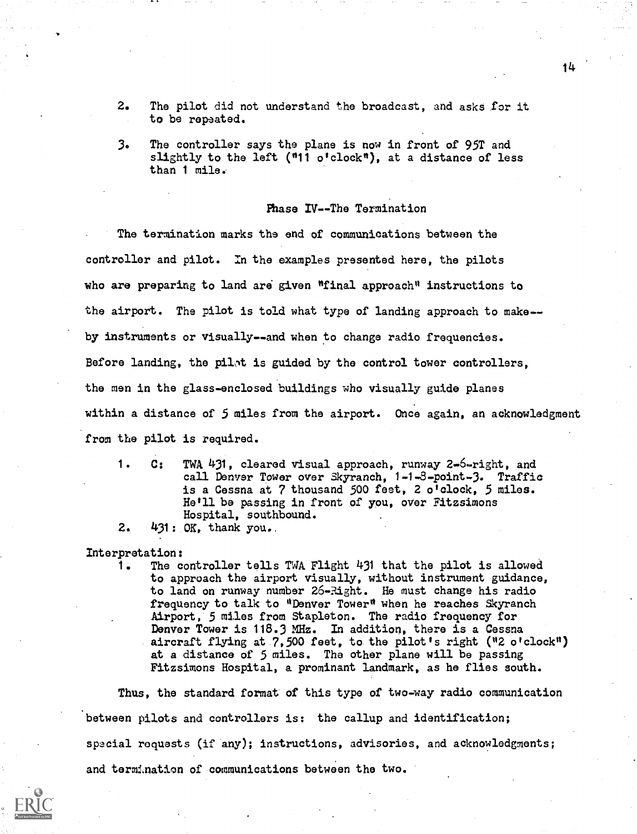- 2. The pilot did not understand the broadcast, and asks for it to be repeated.
- 3. The controller says the plane is now in front of 95T and slightly to the left ("11 o'clock"), at a distance of less than 1 mile.

# Phase IV--The Termination

The termination marks the end of communications between the controller and pilot. In the examples presented here, the pilots who are preparing to land ara given "final approach" instructions to the airport. The pilot is told what type of landing approach to make-by instruments or visually--and when to change radio frequencies. Before landing, the pilot is guided by the control tower controllers, the men in the glass-enclosed buildings who visually guide planes within a distance of 5 miles from the airport. Once again, an acknowledgment from the pilot is required.

- 1. C: TWA 431, cleared visual approach, runway 2-6-right, and call Denver Tower over Skyranch, 1-1-3-point-3. Traffic is a Cessna at 7 thousand 500 feet, 2 o'clock, 5 miles. He'll be passing in front of you, over Fitzsimons Hospital, southbound.
- 2. 431: OK, thank you..

Interpretation:

1. The controller tells TWA Flight 431 that the pilot is allowed to approach the airport visually, without instrument guidance, to land on runway number 26-Right. He must change his radio frequency to talk to "Denver Tower" when he reaches Skyranch Airport, 5 miles from Stapleton. The radio frequency for Denver Tower is 118.3 MHz. In addition, there is a Cessna aircraft flying at 7,500 feet, to the pilot's right ("2 o'clock") at a distance of 5 miles. The other plane will be passing Fitzsimons Hospital, a prominant landmark, as he flies south.

Thus, the standard format of this type of two-way radio communication between pilots and controllers is: the callup and identification; special requests (if any); instructions, advisories, and acknowledgments; and termination of communications between the two.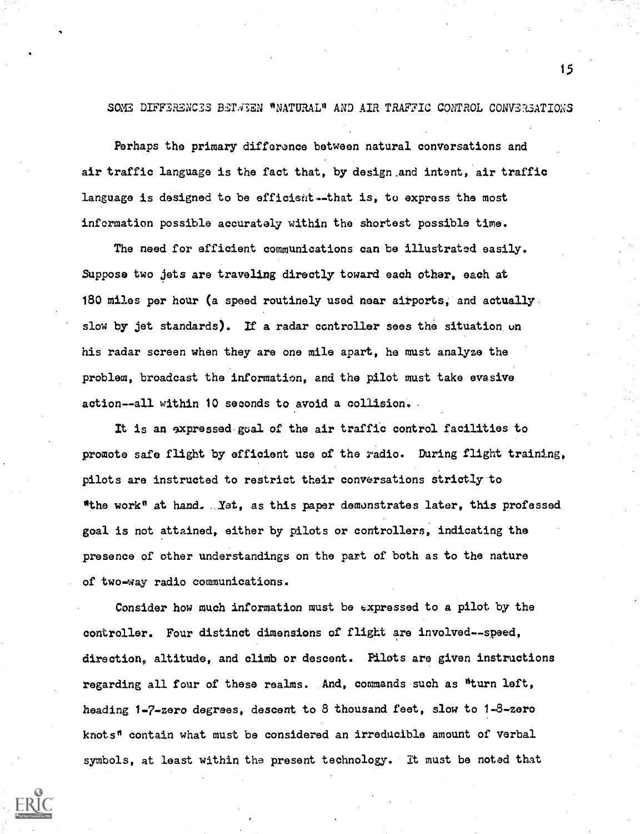# SOME DIFFERENCES BETWEEN "NATURAL" AND AIR TRAFFIC CONTROL CONVERSATIONS

Perhaps the primary difference between natural conversations and air traffic language is the fact that, by design .and intent, air traffic language is designed to be efficient--that is, to express the most information possible accurately within the shortest possible time.

The need for efficient communications can be illustrated easily. Suppose two jets are traveling directly toward each other, each at 180 miles per hour (a speed routinely used near airports, and actually slow by jet standards). If a radar controller sees the situation un his radar screen when they are one mile apart, he must analyze the problem, broadcast the information, and the pilot must take evasive action--all within 10 seconds to avoid a collision.

It is an sxpressed.goal of the air traffic control facilities to promote safe flight by efficient use of the radio. During flight training, pilots are instructed to restrict their conversations strictly to "the work" at hand. Yet, as this paper demonstrates later, this professed goal is not attained, either by pilots or controllers, indicating the presence of other understandings on the part of both as to the nature of two-way radio communications.

Consider how much information must be expressed to a pilot by the controller. Four distinct dimensions of flight are involved--speed, direction, altitude, and climb or descent. Pilots are given instructions regarding all four of these realms. And, commands such as "turn left, heading 1-7-zero degrees, descent to 8 thousand feet, slow to 1-8-zero knots" contain what must be considered an irreducible amount of verbal symbols, at least within the present technology. It must be noted that

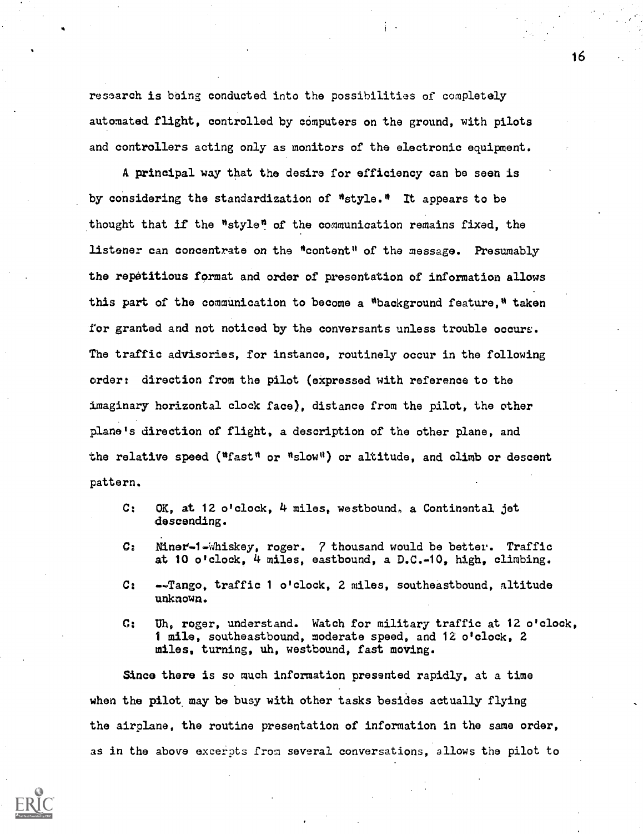research is being conducted into the possibilities of completely automated flight, controlled by computers on the ground, with pilots and controllers acting only as monitors of the electronic equipment.

A principal way that the desire for efficiency can be seen is by considering the standardization of "style." It appears to be thought that if the "style" of the communication remains fixed, the listener can concentrate on the "content" of the message. Presumably the repetitious format and order of presentation of information allows this part of the communication to become a "background feature." taken for granted and not noticed by the conversants unless trouble occurs. The traffic advisories, for instance, routinely occur in the following order: direction from the pilot (expressed with reference to the imaginary horizontal clock face), distance from the pilot, the other plane's direction of flight, a description of the other plane, and the relative speed ("fast" or "slow") or altitude, and climb or descent pattern.

- C: OK, at 12 o'clock, 4 miles, westbound, a Continental jet descending.
- C: Miner-1-Whiskey, roger. 7 thousand would be better. Traffic at 10 o'clock, 4 miles, eastbound, a D.C.-10, high, climbing.
- C: --Tango, traffic 1 o'clock, 2 miles, southeastbound, altitude unknown.
- C: Eh, roger, understand. Watch for military traffic at 12 o'clock, 1 mile, southeastbound, moderate speed, and 12 o'clock, 2 miles, turning, uh, westbound, fast moving.

Since there is so much information presented rapidly, at a time when the pilot may be busy with other tasks besides actually flying the airplane, the routine presentation of information in the same order, as in the above excerpts from several conversations, allows the pilot to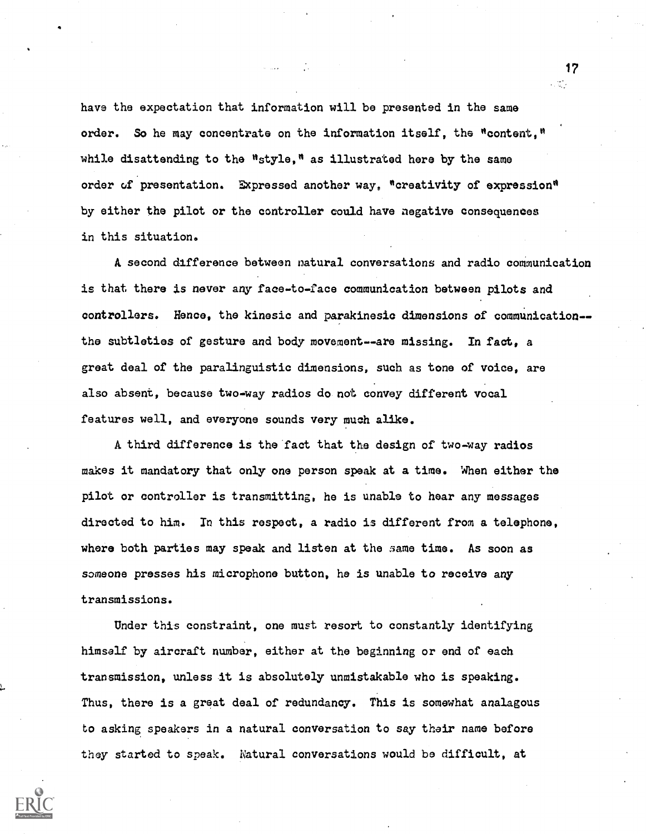have the expectation that information will be presented in the same order. So he may concentrate on the information itself, the "content," while disattending to the "style," as illustrated here by the same order of presentation. Expressed another way, "creativity of expression" by either the pilot or the controller could have negative consequences in this situation.

A second difference between natural conversations and radio communication is that there is never any face-to-face communication between pilots and controllers. Hence, the kinesic and parakinesic dimensions of communication- the subtleties of gesture and body movement--are missing. In fact, a great deal of the paralinguistic dimensions, such as tone of voice, are also absent, because two-way radios do not convey different vocal features well, and everyone sounds very much alike.

A third difference is the fact that the design of two-way radios makes it mandatory that only one person speak at a time. When either the pilot or controller is transmitting, he is unable to hear any messages directed to him. In this respect, a radio is different from a telephone, where both parties may speak and listen at the same time. As soon as someone presses his microphone button, he is unable to receive any transmissions.

Under this constraint, one must resort to constantly identifying himself by aircraft number, either at the beginning or end of each transmission, unless it is absolutely unmistakable who is speaking. Thus, there is a great deal of redundancy. This is somewhat analagous to asking speakers in a natural conversation to say their name before they started to speak. Natural conversations would be difficult, at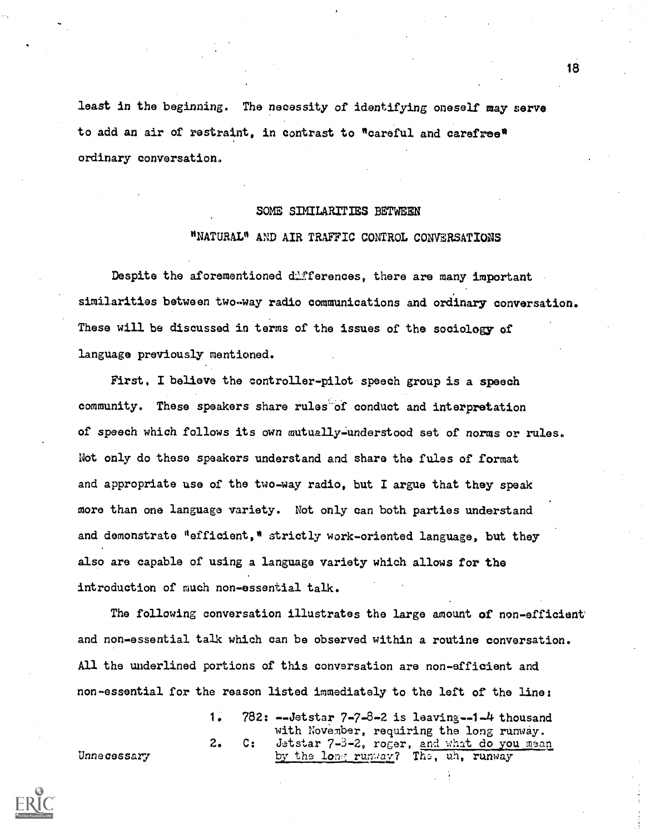least in the beginning. The necessity of identifying oneself may serve to add an air of restraint, in contrast to "careful and carefree" ordinary conversation.

# SOME SIMILARITIES BETWEEN

# "NATURAL" AND AIR TRAFFIC CONTROL CONVERSATIONS

Despite the aforementioned differences, there are many important similarities between two-way radio communications and ordinary conversation. These will be discussed in terms of the issues of the sociology of language previously mentioned.

First, I believe the controller-pilot speech group is a speech community. These speakers share rules-of conduct and interpretation of speech which follows its own mutually-understood set of norms or rules. Not only do these speakers understand and share the fules of format and appropriate use of the two-way radio, but I argue that they speak more than one language variety. Not only can both parties understand and demonstrate "efficient," strictly work-oriented language. but they also are capable of using a language variety which allows for the introduction of much non-essential talk.

The following conversation illustrates the large amount of non-efficient and non-essential talk which can be observed within a routine conversation. All the underlined portions of this conversation are non-efficient and non-essential for the reason listed immediately to the left of the line:

1. 782: --Jetstar 7-7-8-2 is leaving-1-4 thousand with November, requiring the long runway. 2. C: Jetstar 7-3-2, roger, and what do you mean Unnecessary by the long runway? The  $\frac{1}{n}$ , runway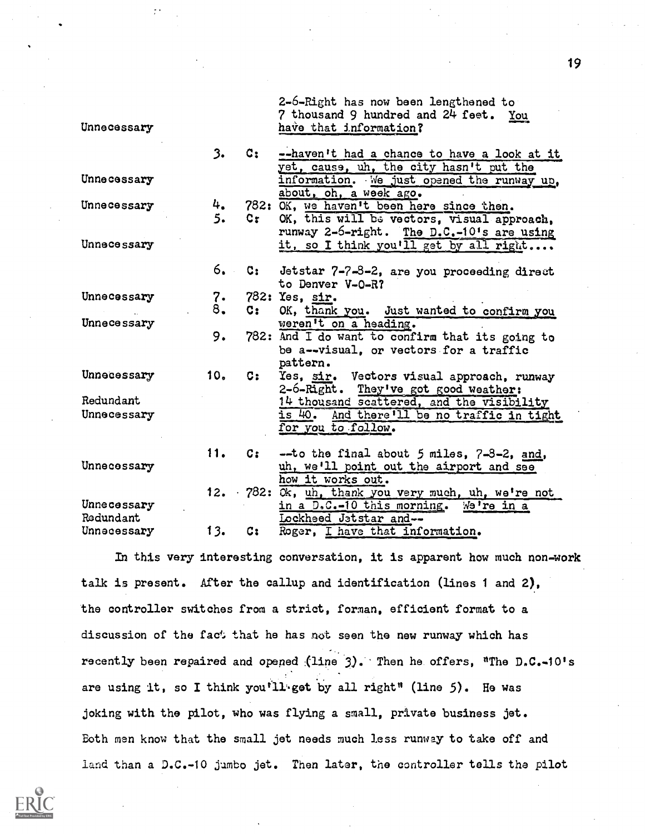|                          |                 |                    | 2-6-Right has now been lengthened to:<br>7 thousand 9 hundred and 24 feet. You                                  |
|--------------------------|-----------------|--------------------|-----------------------------------------------------------------------------------------------------------------|
| Unnecessary              |                 |                    | have that information?                                                                                          |
|                          | 3.              | $\mathsf{C}\colon$ | --haven't had a chance to have a look at it                                                                     |
| Unnecessary              |                 |                    | yet, cause, uh, the city hasn't put the<br>information. We just opened the runway up,<br>about, oh, a week ago. |
| Unnecessary              | 4.              |                    | 782: OK, we haven't been here since then.                                                                       |
|                          | 5.              | Cr i               | OK, this will be vectors, visual approach,                                                                      |
| Unnecessary              |                 |                    | runway 2-6-right. The D.C.-10's are using<br>it, so I think you'll get by all right                             |
|                          | 6.              | $\mathbf{c}$ .     | Jetstar 7-7-3-2, are you proceeding direct                                                                      |
|                          |                 |                    | to Denver V-0-R?                                                                                                |
| Unnecessary              | 7.              |                    | 782: Yes, sir.                                                                                                  |
|                          | 8.              | $c_{\mathbf{r}}$   | OK, thank you. Just wanted to confirm you                                                                       |
| Unnecessary              |                 |                    | weren't on a heading.                                                                                           |
|                          | 9.              |                    | 782: And I do want to confirm that its going to                                                                 |
|                          |                 |                    | be a--visual, or vectors for a traffic<br>pattern.                                                              |
| Unnecessary              | 10 <sub>o</sub> | $\mathbf{C}$ :     | Yes, sir. Vectors visual approach, runway                                                                       |
|                          |                 |                    | 2-6-Right. They've got good weather:                                                                            |
| Redundant                |                 |                    | 14 thousand scattered, and the visibility                                                                       |
| Unnecessary              |                 |                    | is 40. And there'll be no traffic in tight                                                                      |
|                          |                 |                    | for you to follow.                                                                                              |
|                          | 11.             | $c_{\mathbf{i}}$   | $-$ to the final about 5 miles, $7-3-2$ , and,                                                                  |
| Unnecessary              |                 |                    | uh, we'll point out the airport and see                                                                         |
|                          |                 |                    | how it works out.                                                                                               |
|                          |                 |                    | 12. 782: Ok, uh, thank you very much, uh, we're not                                                             |
| Unnecessary<br>Redundant |                 |                    | in a D.C.-10 this morning. We're in a                                                                           |
| Unnecessary              | 13.             | c:                 | Lockheed Jatstar and--<br>Roger, I have that information.                                                       |
|                          |                 |                    |                                                                                                                 |

In this very interesting conversation, it is apparent how much non-work talk is present. After the callup and identification (lines 1 and 2), the controller switches from a strict, forman, efficient format to a discussion of the fact that he has not seen the new runway which has recently been repaired and opened (line 3). Then he offers, "The D.C.-10's are using it, so I think you<sup>t</sup>ll get by all right" (line 5). He was joking with the pilot, who was flying a small, private business jet. Both men know that the small jet needs much less runway to take off and land than a D.C.-10 jumbo jet. Then later, the controller tells the pilot

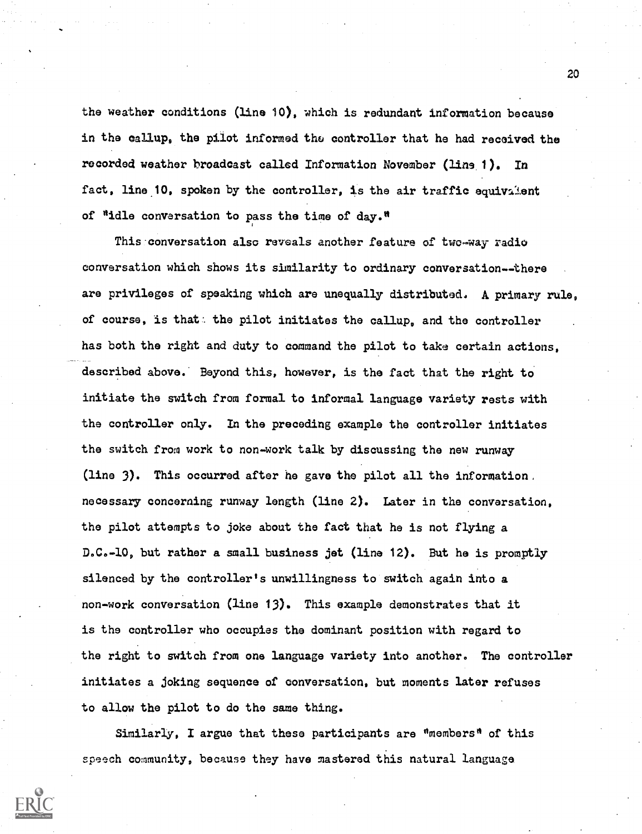the weather conditions (line 10), which is redundant information because in the callup, the pilot informed the controller that he had received the recorded weather broadcast called Information November (line 1). In fact, line 10, spoken by the controller, is the air traffic equivalent of "idle conversation to pass the time of day."

This 'conversation also reveals another feature of two-way-radio conversation which shows its similarity to ordinary conversation--there are privileges of speaking which are unequally distributed, A primary rule, of course, is that the pilot initiates the callup, and the controller has both the right and duty to command the pilot to take certain actions, described above. Beyond this, however, is the fact that the right to initiate the switch from formal to informal language variety rests with the controller only. In the preceding example the controller initiates the switch from work to non-work talk by discussing the new runway (line 3). This occurred after he gave the pilot all the information, necessary concerning runway length (line 2). Later in the conversation, the pilot attempts to joke about the fact that he is not flying a D.C.-10, but rather a small business jet (line 12). But he is promptly silenced by the controller's unwillingness to switch again into a non-work conversation (line 13). This example demonstrates that it is the controller who occupies the dominant position with regard to the right to switch from one language variety into another. The controller initiates a joking sequence of conversation, but moments later refuses to allow the pilot to do the same thing.

Similarly, I argue that these participants are "members" of this speech community, because they have mastered this natural language



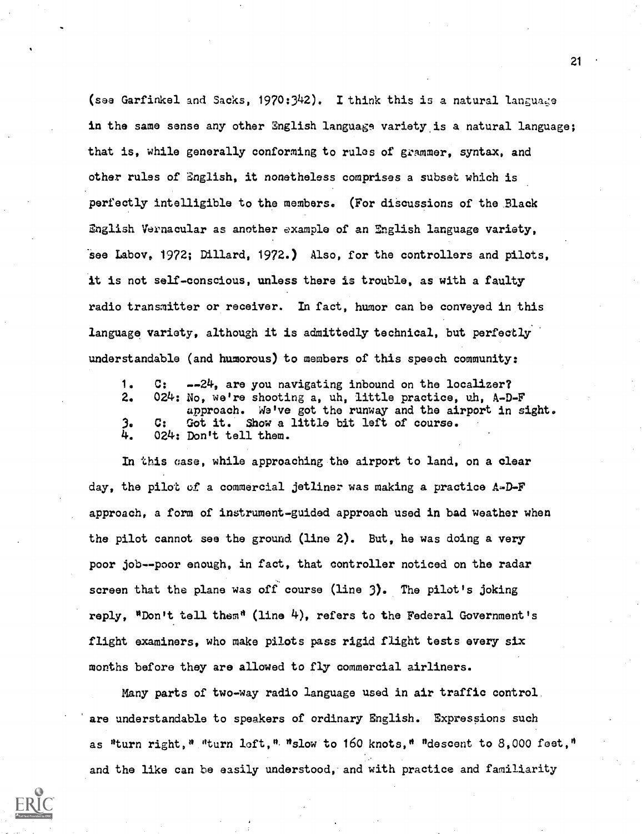(sea Garfinkel and Sacks, 1970:342). I think this is a natural langua,;e in the same sense any other English language variety is a natural language; that is, while generally conforming to rules of grammer, syntax, and other rules of English, it nonetheless comprises a subset which is perfectly intelligible to the members. (For discussions of the Black English Vernacular as another example of an English language variety, see Labov, 1972; Dillard, 1972.) Also, for the controllers and pilots, it is not self-conscious, unless there is trouble, as with a faulty radio transmitter or receiver. In fact, humor can be conveyed in this language variety, although it is admittedly technical, but perfectly. understandable (and humorous) to members of this speech community:

1. C: --24, are you navigating inbound on the localizer? 2. 024: No, we're shooting a, uh, little practice, uh, A-D-F approach. We've got the runway and the airport in sight. 3. C: Got it. Show a little bit left of course.<br>4. 024: Don't tell them. 024: Don't tell them.

In this case, while approaching the airport to land, on a clear day, the pilot of a commercial jetliner was making a practice A-D-F approach, a form of instrument-guided approach used in bad weather when the pilot cannot see the ground (line 2). But, he was doing a very poor job--poor enough, in fact, that controller noticed on the radar screen that the plane was off course (line 3). The pilot's joking reply, "Don't tell them" (line 4), refers to the Federal Government's flight examiners, who make pilots pass rigid flight tests every six months before they are allowed to fly commercial airliners.

Many parts of two-way radio language used in air traffic control. are understandable to speakers of ordinary English. Expressions such as "turn right," "turn loft,". "slow to 160 knots," "descent to 8,000 feet," and the like can be easily understood, and with practice and familiarity

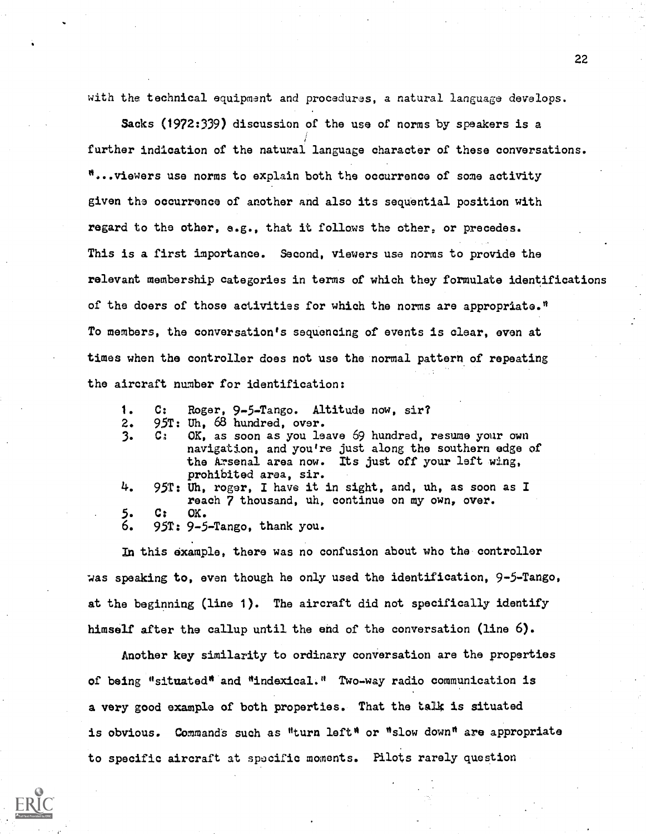with the technical equipment and procedures, a natural language develops.

Sacks (1972:339) discussion of the use of norms by speakers is a further indication of the natural language character of these conversations. "...viewers use norms to explain both the occurrence of some activity given the occurrence of another and also its sequential position with regard to the other, e.g., that it follows the other, or precedes. This is a first importance. Second, viewers use norms to provide the relevant membership categories in terms of which they formulate identifications of the doers of those activities for which the norms are appropriate." To members, the conversation's sequencing of events is clear, even at times when the controller does not use the normal pattern of repeating the aircraft number for identification:

- 1. C: Roger, 9-5-Tango. Altitude now, sir?
- 
- 2. 95T: Uh, 68 hundred, over.<br>3. C: OK, as soon as you le OK, as soon as you leave 69 hundred, resume your own navigation, and you're just along the southern edge of the Arsenal area now. Its just off your left wing, prohibited area, sir.
- 4. 95T: Uh, roger, I have it in sight, and, uh, as soon as I reach 7 thousand, uh, continue on my own, over. 5. C: OK.
- 6. 95T: 9-5-Tango, thank you.

In this example, there was no confusion about who the controller was speaking to, even though he only used the identification, 9-5-Tango, at the beginning (line 1). The aircraft did not specifically identify himself after the callup until the end of the conversation (line 6).

Another key similarity to ordinary conversation are the properties of being "situated" and "indexical." Two-way radio communication is a very good example of both properties. That the talk is situated is obvious. Commands such as "turn left" or "slow down" are appropriate to specific aircraft at specific moments. Pilots rarely question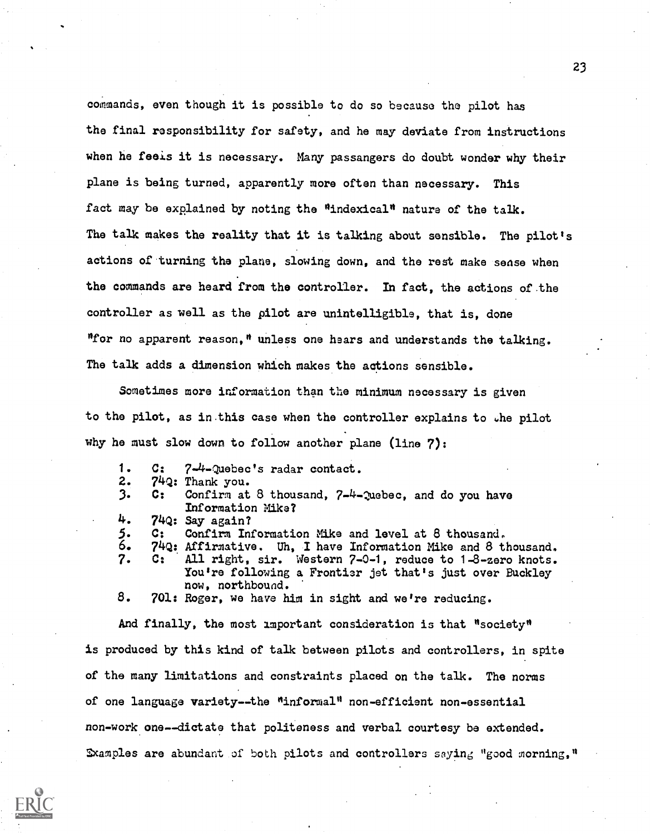commands, even though it is possible to do so because the pilot has the final responsibility for safety, and he may deviate from instructions when he feels it is necessary. Many passangers do doubt wonder why their plane is being turned, apparently more often than necessary. This fact may be explained by noting the "indexical" nature of the talk. The talk makes the reality that it is talking about sensible. The pilot's actions of turning the plane, slowing down, and the rest make sense when the commands are heard from the controller. In fact, the actions of the controller as well as the pilot are unintelligible, that is, done "for no apparent reason," unless one hears and understands the talking. The talk adds a dimension which makes the actions sensible.

Sometimes more information than the minimum necessary is given to the pilot, as in this case when the controller explains to the pilot why he must slow down to follow another plane (line 7):

| 1. |                | $C:$ $7-4$ -Quebec's radar contact.                             |
|----|----------------|-----------------------------------------------------------------|
| 2. |                | 74Q: Thank you.                                                 |
| 3. |                | C: Confirm at 8 thousand, 7-4-Quebec, and do you have           |
|    |                | Information Mike?                                               |
| 4. |                | $74Q:$ Say again?                                               |
| 5. | $\mathbf{G_1}$ | Confirm Information Mike and level at 8 thousand.               |
| 6. |                | 74Q: Affirmative. Uh, I have Information Mike and 8 thousand.   |
| 7. |                | C: All right, sir. Western 7-0-1, reduce to 1-8-zero knots.     |
|    |                | You're following a Frontier jet that's just over Buckley        |
|    |                | now, northbound.                                                |
| 8. |                | 701: Roger, we have him in sight and we're reducing.            |
|    |                |                                                                 |
|    |                | And finally, the most important consideration is that "society" |
|    |                |                                                                 |

is produced by this kind of talk between pilots and controllers, in spite of the many limitations and constraints placed on the talk. The norms of one language variety--the "informal" non-efficient non-essential non-work one--dictate that politeness and verbal courtesy be extended. Sxamples are abundant of both pilots and controllers saying "good morning,"

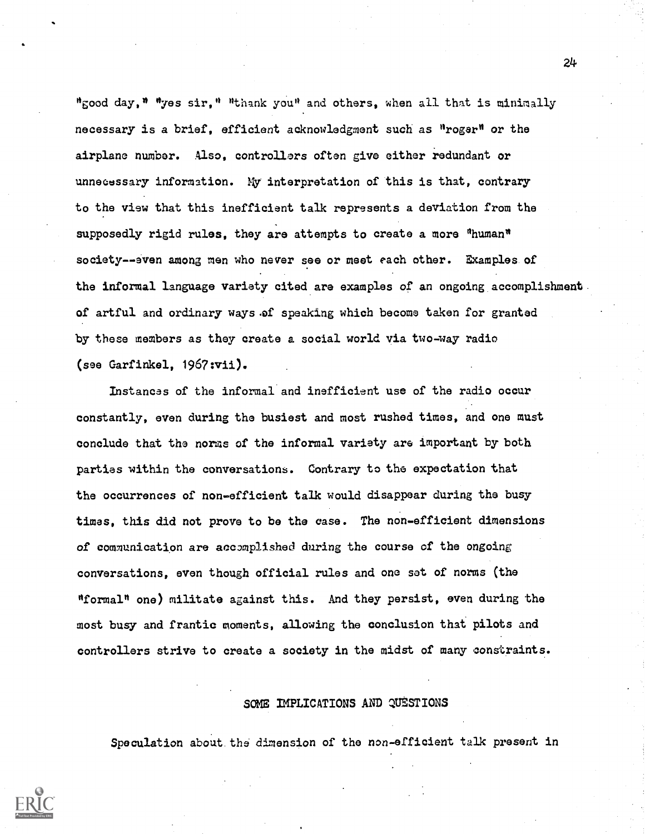"good day," "yes sir," "thank you" and others, when all that is minimally necessary is a brief, efficient acknowledgment such as "roger" or the airplane number. Also, controllers often give either redundant or unnecessary information. My interpretation of this is that, contrary to the view that this inefficient talk represents a deviation from the supposedly rigid rules, they are attempts to create a more "human" society--even among men who never see or meet each other. Examples of the informal language variety cited are examples of an ongoing accomplishment. of artful and ordinary ways .of speaking which become taken for granted by these members as they create a social world via two-way radio (see Garfinkel, 1967:vii).

Instances of the informal and inefficient use of the radio occur constantly, even during the busiest and most rushed times, and one must conclude that the norms of the informal variety are important by both parties within the conversations. Contrary to the expectation that the occurrences of non-efficient talk would disappear during the busy times, this did not prove to be the case. The non-efficient dimensions of communication are accomplished during the course of the ongoing conversations, even though official rules and one sat of norms (the "formal" one) militate against this. And they persist, even during the most busy and frantic moments, allowing the conclusion that pilots and controllers strive to create a society in the midst of many constraints.

# SOME IMPLICATIONS AND QUESTIONS

Speculation about. the dimension of the non-efficient talk present in

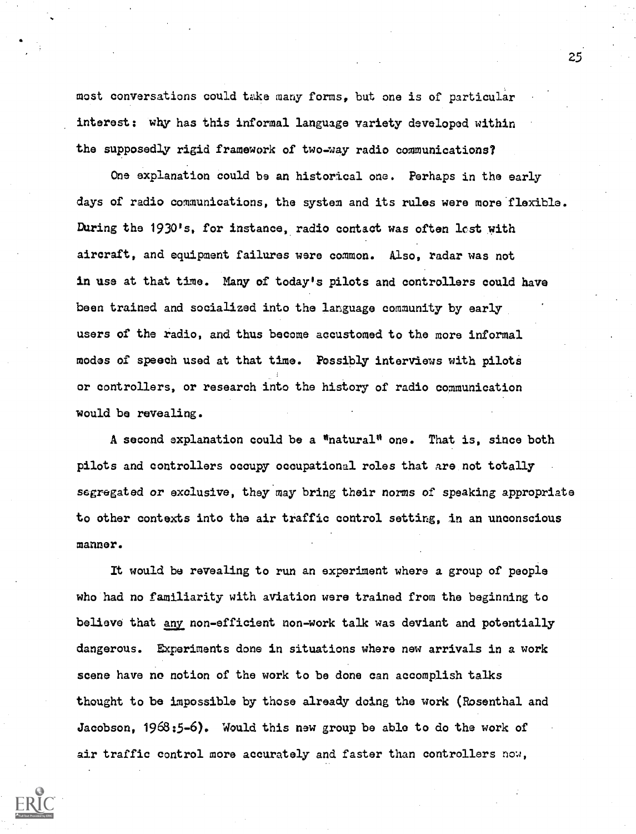most conversations could take many forms, but one is of particular interest: why has this informal language variety developed within the supposedly rigid framework of two-way radio communications?

One explanation could be an historical one. Perhaps in the early days of radio communications, the system and its rules were more flexible. During the 1930's, for instance, radio contact was often last with aircraft, and equipment failures were common. Also, radar was not in use at that time. Many of today's pilots and controllers could have been trained and socialized into the language community by early users of the radio, and thus become accustomed to the more informal modes of speech used at that time. Possibly interviews with pilots or controllers, or research into the history of radio communication would be revealing.

A second explanation could be a  $^{\text{max}}$ natural $^{\text{min}}$  one. That is, since both pilots and controllers occupy occupational roles that are not totally segregated or exclusive, they'may bring their norms of speaking appropriate to other contexts into the air traffic control setting, in an unconscious manner.

It would be revealing to run an experiment where a group of people who had no familiarity with aviation were trained from the beginning to believe that <u>any</u> non-efficient non-work talk was deviant and potentially dangerous. Experiments done in situations where new arrivals in a work scene have no notion of the work to be done can accomplish talks thought to be impossible by those already doing the work (Rosenthal and Jacobson, 1968:5-6). Would this new group be able to do the work of air traffic control more accurately and faster than controllers now,

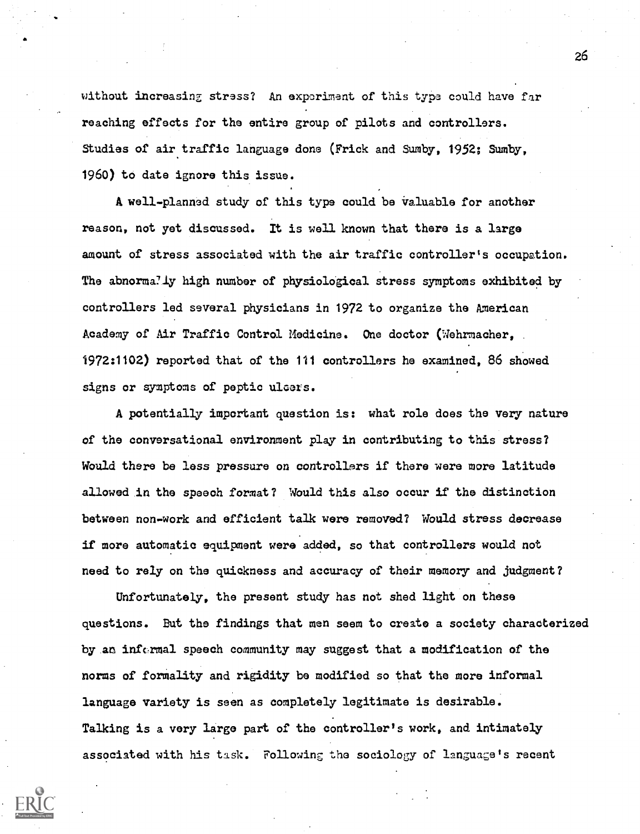without increasing stress? An exporiment of this type could have far reaching effects for the entire group of pilots and controllers. Studies of air traffic language done (Frick and Sumby, 1952; Sumby, 1960) to date ignore this issue.

A well-planned study of this type could be valuable for another reason, not yet discussed. It is well known that there is a large amount of stress associated with the air traffic controller's occupation. The abnormally high number of physiological stress symptoms exhibited by controllers led several physicians in 1972 to organize the American Academy of Air Traffic Control Medicine. One doctor (Wehrmacher. 1972:1102) reported that of the 111 controllers he examined, 86 showed signs or symptoms of peptic ulcers.

A potentially important question is: what role does the very nature of the conversational environment play in contributing to this stress? Would there be less pressure on controllers if there were more latitude allowed in the speech format? Would this also occur if the distinction between non-work and efficient talk were removed? Would stress decrease if more automatic equipment were added, so that controllers would not need to rely on the quickness and accuracy of their memory and judgment?

Unfortunately, the present study has not shed light on these questions. But the findings that men seem to create a society characterized by an informal speech community may suggest that a modification of the norms of formality and rigidity be modified so that the more informal language variety is seen as completely legitimate is desirable. Talking is a very large part of the controller's work, and intimately associated with his task. Following the sociology of language's recent

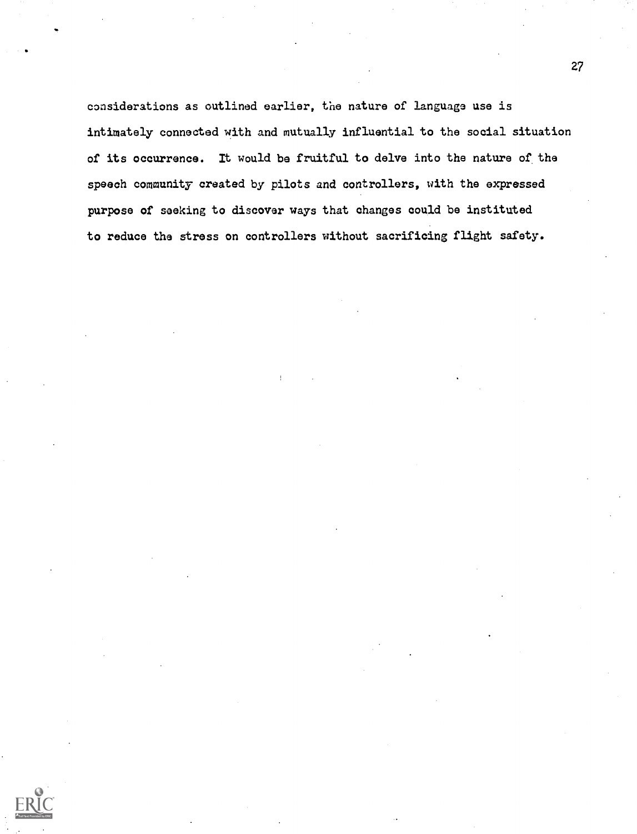considerations as outlined earlier, the nature of language use is intimately connected with and mutually influential to the social situation of its occurrence. It would be fruitful to delve into the nature of the speech community created by pilots and controllers, with the expressed purpose of seeking to discover ways that changes could be instituted to reduce the stress on controllers without sacrificing flight safety.

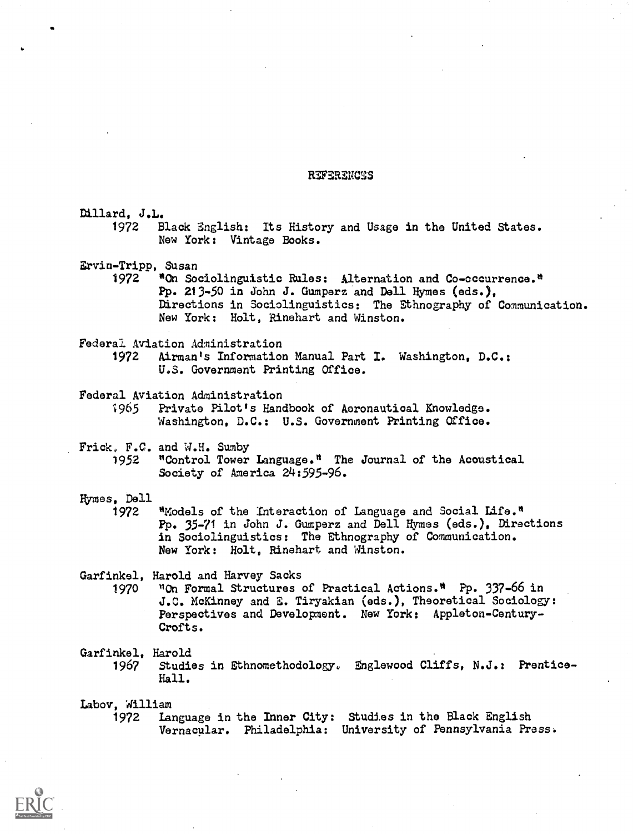### WERENCES

Dillard, J.L. 1972 Black English: Its History and Usage in the United States. New York: Vintage Books. Ervin-Tripp, Susan 1972 <sup>\*</sup>On Sociolinguistic Rules: Alternation and Co-occurrence.<sup>\*</sup> Pp. 213-50 in John J. Gumperz and Dell Hymes (ads.), Directions in Sociolinguistics: The Ethnography of Communication. New York: Holt, Rinehart and Winston. Federal Aviation Administration 1972 Airman's Information Manual Part I. Washington, D.C.: U.S. Government Printing Office. Federal Aviation Administration<br>1965 Private Pilot's Hance Private Pilot's Handbook of Aeronautical Knowledge. Washington, D.C.: U.S. Government Printing Office. Frick, F.C. and W.H. Sumby 1952 "Control Tower Language." The Journal of the Acoustical Society of America 24:595-96. Hymes, Dell 1972 "Models of the Interaction of Language and Social Life." Pp. 35-71 in John J. Gumperz and Dell Hymes (ads.), Directions in Sociolinguistics: The Ethnography of Communication. New York: Holt, Rinehart and Winston. Garfinkel, Harold and Harvey Sacks 1970 "On Formal Structures of Practical Actions." Pp. 337-66 in J.C. McKinney and S. Tiryakian (ads.), Theoretical Sociology: Perspectives and Development. New York: Appleton-Century-Crofts. Garfinkel, Harold<br>1967 Studie 1967 Studies in Ethnomethodology. Englewood Cliffs, N.J.: Prentice-Hall. Labov, William

Language in the Inner City: Studies in the Black English Vernacular. Philadelphia: University of Pennsylvania Press.

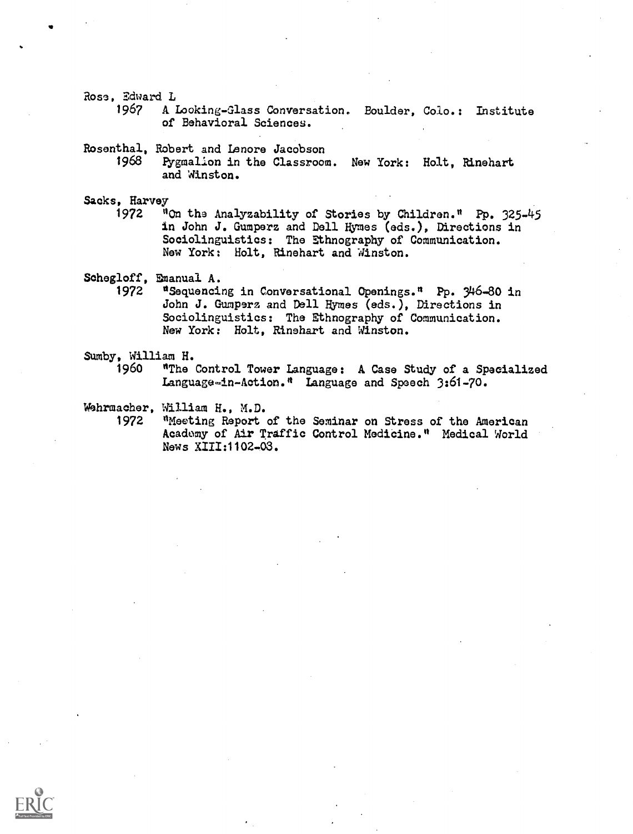Rose, Edward L

1967 A Looking-Glass Conversation. Boulder, Colo.: Institute of Behavioral Sciences.

Rosenthal, Robert and Lenore Jacobson

1968 Pygmalion in the Classroom. New York: Holt, Rinehart and Winston.

Sacks, Harvey<br><sup>972</sup> <sup>0</sup>

"On the Analyzability of Stories by Children." Pp. 325-45 in John J. Gumperz and Dell Hymes (eds.), Directions in Sociolinguistics: The Ethnography of Communication. New York: Holt, Rinehart and Winston.

Schegloff, Emanual A.<br>1972 \*Sequenci

1972 "Sequencing in Conversational Openings." Pp. 346-80 in John J. Gumperz and Dell Byrnes (eds.), Directions in Sociolinguistics: The Ethnography of Communication. New York: Holt, Rinehart and Winston.

Sumby, William H.<br>1960 **\*The** 

"The Control Tower Language: A Case Study of a Specialized Language-in-Action." Language and Speech 3:61-70.

Wehrmacher, William H., M.D.

1972 "Meeting Report of the Seminar on Stress of the American Academy of Air Traffic Control Medicine." Medical World News XIII:1102-03.

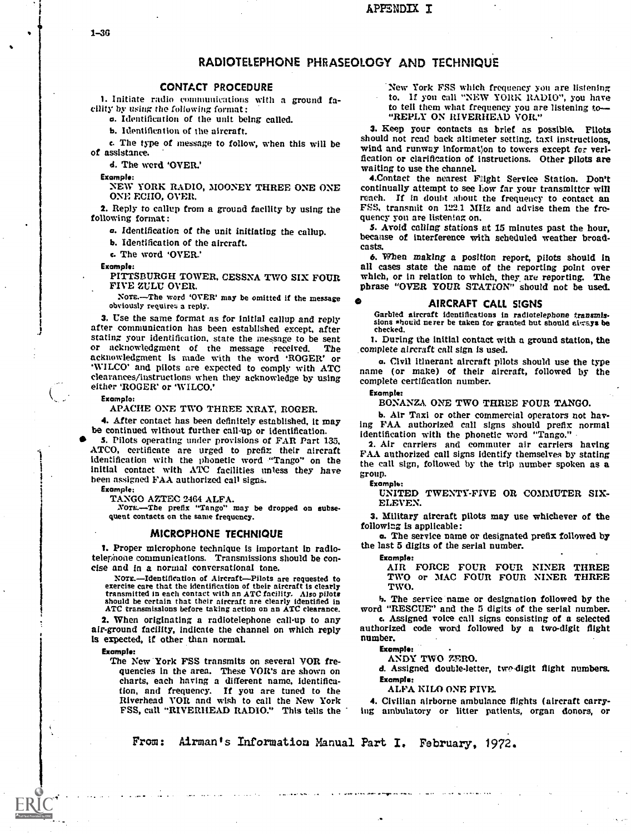### APPENDIX I

# RADIOTELEPHONE PHRASEOLOGY AND TECHNIQUE

#### CONTACT PROCEDURE

1. Initiate radio communications with a ground fa-cility by using the following format:

a. Identification of the unit being called.

b. Identification of the aircraft.

d. The word 'OVER.'

Example:

ONE ECII0, OVER.

following format :

a. Identification of the unit initiating the callup.

b. Identification of the aircraft.

c. The word 'OVER.'

Example:

FIVE ZULU OVER.

Nore.—The word 'OVER' may be omitted if the message  $\bullet$  **AIRCRAFT CALL SIGNS**<br>obviously requires a reply. Garbled aircraft identifications in radiotelephone transmis-

3. Use the same format as for initial callup and reply after communication has been established except, after stating your identification, state the message to be sent or acknowledgment of the message received. The acknowledgment is made with the word 'ROGER' or acknowledgment is made with the word 'ROGER' or a. Civil itinerant aircraft pilots should use the type<br>'WILCO' and pilots are expected to comply with ATC annual or make) of their circraft followed by the clearances /instructions when they acknowledge by using either 'ROGER' or 'WILCO.'

Example:

APACHE ONE TWO THREE XRAY, ROGER.

4. After contact has been definitely established, it may be continued without further call-up or identification.

be continued without further call-up or identification.<br>
S. Pilots operating under provisions of FAR Part 135,<br>
ATCO, certificate are urged to prefix their aircraft FAA authorized call signs identify themselves h identification with the phonetic word "Tango" on the Initial contact with ATC facilities unless they have been assigned FAA authorized call signs.

Example:

TANGO AZTEC 2464 ALFA.

NOTE.-The prefix "Tango" may be dropped on subsequent contacts on the same frequency.

#### MICROPHONE TECHNIQUE

1. Proper microphone technique is important in radiotelephone communications. Transmissions should be con- cise and In a normal conversational tone.

NOTE.-Identification of Aircraft-Pilots are requested to exercise care that the identification of their alreraft is clearly<br>transmitted in each contact with an ATC facility. Also pilots<br>should be certain that their aircraft are clearly identified in<br>ATC transmisslons before taki

2. When originating a radiotelephone call-up to any air-ground facility, indicate the channel on which reply is expected, If other than normal.

Example:

The New York FSS transmits on several VOR frequencies in the area. These VOR's are shown on charts, each having a different name, identification, and frequency. If you are tuned to the tion, and frequency. If you are tuned to the Riverhead VOR and wish to call the New York FSS, call "RIVERHEAD RADIO." This tells the ing a

New York FSS which frequency you are listening to. If you call "NEW YORK RADIO", you have to tell them what frequency you are listening to "REPLY ON RIVERHEAD VOR."

c. The type of message to follow, when this will be should not read back altimeter setting, taxi instructions,<br>of assistance.<br>fication or clarification of instructions. Other pilots are 3. Keep your contacts as brief as possible. Pilots wind and runway information to towers except for veri-

NEW YORK RADIO, MOONEY THREE ONE ONE continually attempt to see how far your transmitter will 2. Reply to callup from a ground facility by using the  $FSS$ , transmit on  $122.1$  MHz and advise them the frewaiting to use the channel.<br>
4.Contact the nearest Flight Service Station. Don't<br>
continually attempt to see how far your transmitter will<br>
reach. If in doubt about the frequency to contact an quency you are listening on.<br>5. Avoid calling stations at 15 minutes past the hour,

because of interference with scheduled weather broadcasts.

PITTSBURGH TOWER, CESSNA TWO SIX FOUR which, or in relation to which, they are reporting. The phrase "OVER YOUR STATION" should not be used. 6. When making a position report, pilots should in all cases state the name of the reporting point over which, or in relation to which, they are reporting. The

#### o AIRCRAFT CALL SIGNS

sions should never be taken for granted but should airsys be checked.

1. During the initial contact with a ground station, the .complete aircraft call sign is used.

name (or make) of their aircraft, followed by the complete certification number.

Example:

BONANZA ONE TWO THREE FOUR TANGO.

b. Air Taxi or other commercial operators not having FAA authorized call signs should prefix normal

2. Air carriers and commuter air carriers having FAA authorized call signs identify themselves by stating the call sign, followed by the trip number spoken as a group.

Example:

UNITED TWENTY-FIVE OR COMMUTER SIX-ELEVEN.

3. Military aircraft pilots may use whichever of the following is applicable:

a. The service name or designated prefix followed by the last 5 digits of the serial number.

Example:

AIR FORCE FOUR FOUR NINER THREE TWO or MAC FOUR FOUR NINER THREE TWO.

h. The service name or designation followed by the word "RESCUE" and the 5 digits of the serial number. c. Assigned voice call signs consisting of a selected

authorized code word followed by a two-digit flight number.

Example:

ANDY TWO ZERO.

d. Assigned double-letter, twe-digit flight numbers. Example:

ALFA KILO ONE FIVE.

4. Civilian airborne ambulance flights (aircraft carrying ambulatory or litter patients, organ donors, or

From: Airman's Information Manual Part I. February, 1972.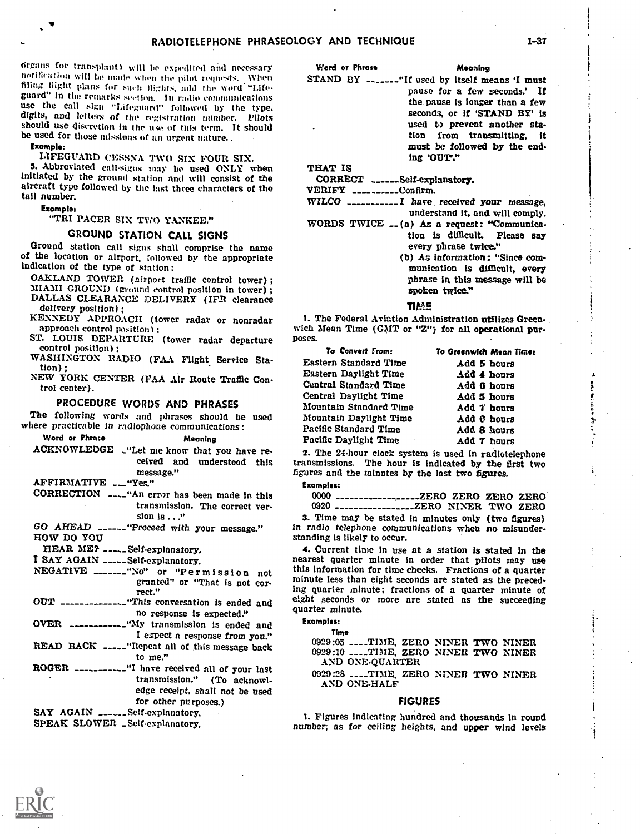organs for transplant) will be expedited and necessary notification will he made when the pilot requests. When<br>filing flight plans for such flights, add the word "Lifeguard" in the remarks section. In radio communications<br>use the call sign "Lifeguard" followed by the type,<br>digits, and letters of the registration number. Pilots should use discretion in the use of this term. It should be used for those missions of an urgent nature..

Example:

LIFEGUARD CESSNA TWO SIX FOUR SIX.

5. Abbreviated call-signs may be used ONLY when Initiated by the ground station and will consist of the aircraft type followed by the last three characters of the tall number.

#### Example:

# "TRI PACER SIX TWO YANKEE."

# GROUND STATION CALL SIGNS

Ground station call signs shall comprise the name of the location or airport, followed by the appropriate indication of the type of station:<br>
OAKLAND TOWER (airport traffic control tower);

MIAMI GROUND (ground control position in tower) ;

DALLAS CLEARANCE DELIVERY (IFR clearance<br>delivery position);<br>KENNEDY APPROACH (tower radar or nonradar 1. The Federal Aviation Administration utilizes Green-

approach control position) :<br>ST. LOUIS DEPARTURE (tower radar departure

control position) :

WASHINGTON RADIO (FAA Flight Service Station) ;

NEW YORK CENTER (FAA Air Route Traffic Control center).

# PROCEDURE WORDS AND PHRASES

The following words and phrases should be used where practicable in radiophone communications:

Word or Phrase Meaning

ACKNOWLEDGE ..."Let me know that you have received and understood this<br>message."

# AFFIRMATIVE --- "Yes."

- CORRECTION ---\_"An error has been made in this transmission. The correct version is . . ."
- GO AHEAD \_\_\_\_\_\_ "Proceed with your message." in radio telephone community of the standing is likely to occur. HOW DO YOU

HEAR ME? -----Self-explanatory.<br>I SAY AGAIN ------Self-explanatory.

- granted" or "That is not correct."
- OUT ---------------"This conversation is ended and no response is expected."
- OVER \_\_\_\_\_\_\_\_\_\_\_\_-"My transmission is ended and I expect a response from you."
- READ BACK ----- "Repeat all of this message back to me."
- ROGER \_\_\_\_\_\_\_\_\_\_\_"I have received all of your last transmission." (To acknowledge receipt, shall not be used for other purposes.)

SAY AGAIN \_\_\_\_\_\_Self-explanatory,

SPEAK SLOWER \_Self-explanatory.

Word or Phrase Meaning

STAND BY -------"If used by itself means 'I must pause for a few seconds.' If the pause is longer than a few seconds, or if 'STAND BY' is used to prevent another station from transmitting, it must be followed by the end-

THAT IS

CORRECT .\_\_\_\_\_Self-explanatory.

 $VERIFY$  \_\_\_\_\_\_\_\_\_\_Confirm.

 $WILCO$  \_\_\_\_\_\_\_\_\_\_\_\_\_I have received your message, understand it, and will comply.

ing 'OUT."

- WORDS TWICE  $_{-}(a)$  As a request: "Communication is difficult. Please say every phrase twice."
	- (b) As information: "Since communication is difficult, every phrase in this message will be spoken twice."

#### TIME

wich Mean Time (GMT or "Z") for all operational purposes.

| To Convert From:       | To Greenwich Mean Time: |
|------------------------|-------------------------|
| Eastern Standard Time  | Add 5 hours             |
| Eastern Daylight Time  | Add 4 hours             |
| Central Standard Time  | Add 6 hours             |
| Central Daylight Time  | Add 5 hours             |
| Mountain Standard Time | Add 7 hours             |
| Mountain Daylight Time | Add 6 hours             |
| Pacific Standard Time  | Add 8 hours             |
| Pacific Daylight Time  | Add 7 hours             |

2. The 24-hour clock system is used in radiotelephone transmissions. The hour is indicated by the first two figures and the minutes by the last two figures.

Examples:

0000 \_\_\_\_\_\_\_\_\_\_\_\_\_\_\_\_\_\_\_\_\_ZERO ZERO ZERO ZERO 0920 \_\_\_\_\_\_\_\_\_\_\_\_\_\_\_\_\_\_\_\_ZERO NINER TWO ZERO

3. Time may be stated in minutes only (two figures) In radio telephone communications when no misunder-

NEGATIVE \_\_\_\_\_\_\_"No" or "Permission not this information for time checks. Fractions of a quarter 4. Current time in use at a station is stated in the nearest quarter minute in order that pilots may use minute less than eight seconds are stated as the preceding quarter minute; fractions of a quarter minute of eight seconds or more are stated as the succeeding quarter minute.

### Examples:

Time 0929:05 \_\_\_\_TIME, ZERO NINER TWO NINER 0929:10 \_\_\_\_TIME, ZERO NINER TWO NINER AND ONE-QUARTER

0929:28 \_\_\_\_TIME, ZERO NINER TWO NINER AND ONE-HALF

#### FIGURES

1. Figures Indicating hundred and thousands in round number; as for ceiling heights, and upper wind levels